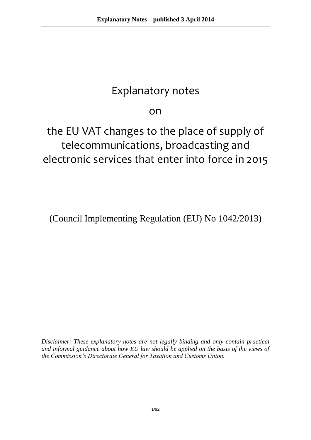## Explanatory notes

## on

# the EU VAT changes to the place of supply of telecommunications, broadcasting and electronic services that enter into force in 2015

(Council Implementing Regulation (EU) No 1042/2013)

*Disclaimer: These explanatory notes are not legally binding and only contain practical and informal guidance about how EU law should be applied on the basis of the views of the Commission's Directorate General for Taxation and Customs Union.*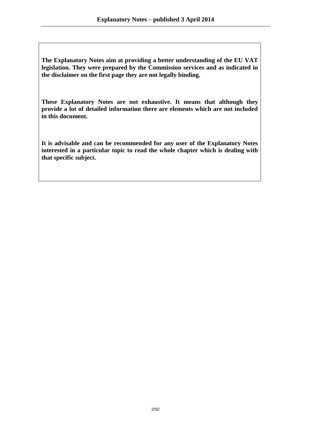**The Explanatory Notes aim at providing a better understanding of the EU VAT legislation. They were prepared by the Commission services and as indicated in the disclaimer on the first page they are not legally binding.**

**These Explanatory Notes are not exhaustive. It means that although they provide a lot of detailed information there are elements which are not included in this document.**

**It is advisable and can be recommended for any user of the Explanatory Notes interested in a particular topic to read the whole chapter which is dealing with that specific subject.**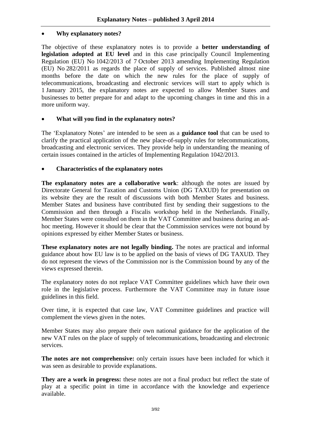#### **Why explanatory notes?**

The objective of these explanatory notes is to provide a **better understanding of legislation adopted at EU level** and in this case principally Council Implementing Regulation (EU) No 1042/2013 of 7 October 2013 amending Implementing Regulation (EU) No 282/2011 as regards the place of supply of services. Published almost nine months before the date on which the new rules for the place of supply of telecommunications, broadcasting and electronic services will start to apply which is 1 January 2015, the explanatory notes are expected to allow Member States and businesses to better prepare for and adapt to the upcoming changes in time and this in a more uniform way.

#### **What will you find in the explanatory notes?**

The 'Explanatory Notes' are intended to be seen as a **guidance tool** that can be used to clarify the practical application of the new place-of-supply rules for telecommunications, broadcasting and electronic services. They provide help in understanding the meaning of certain issues contained in the articles of Implementing Regulation 1042/2013.

#### **Characteristics of the explanatory notes**

**The explanatory notes are a collaborative work**: although the notes are issued by Directorate General for Taxation and Customs Union (DG TAXUD) for presentation on its website they are the result of discussions with both Member States and business. Member States and business have contributed first by sending their suggestions to the Commission and then through a Fiscalis workshop held in the Netherlands. Finally, Member States were consulted on them in the VAT Committee and business during an adhoc meeting. However it should be clear that the Commission services were not bound by opinions expressed by either Member States or business.

**These explanatory notes are not legally binding.** The notes are practical and informal guidance about how EU law is to be applied on the basis of views of DG TAXUD. They do not represent the views of the Commission nor is the Commission bound by any of the views expressed therein.

The explanatory notes do not replace VAT Committee guidelines which have their own role in the legislative process. Furthermore the VAT Committee may in future issue guidelines in this field.

Over time, it is expected that case law, VAT Committee guidelines and practice will complement the views given in the notes.

Member States may also prepare their own national guidance for the application of the new VAT rules on the place of supply of telecommunications, broadcasting and electronic services.

**The notes are not comprehensive:** only certain issues have been included for which it was seen as desirable to provide explanations.

**They are a work in progress:** these notes are not a final product but reflect the state of play at a specific point in time in accordance with the knowledge and experience available.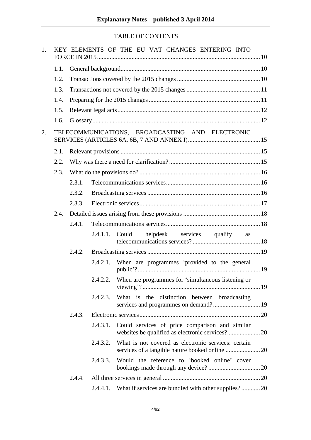## TABLE OF CONTENTS

| 1. |                                                 |        |          | KEY ELEMENTS OF THE EU VAT CHANGES ENTERING INTO                                      |  |  |  |  |  |  |
|----|-------------------------------------------------|--------|----------|---------------------------------------------------------------------------------------|--|--|--|--|--|--|
|    | 1.1.                                            |        |          |                                                                                       |  |  |  |  |  |  |
|    | 1.2.                                            |        |          |                                                                                       |  |  |  |  |  |  |
|    | 1.3.                                            |        |          |                                                                                       |  |  |  |  |  |  |
|    | 1.4.                                            |        |          |                                                                                       |  |  |  |  |  |  |
|    | 1.5.                                            |        |          |                                                                                       |  |  |  |  |  |  |
|    | 1.6.                                            |        |          |                                                                                       |  |  |  |  |  |  |
| 2. | TELECOMMUNICATIONS, BROADCASTING AND ELECTRONIC |        |          |                                                                                       |  |  |  |  |  |  |
|    |                                                 |        |          |                                                                                       |  |  |  |  |  |  |
|    | 2.1.                                            |        |          |                                                                                       |  |  |  |  |  |  |
|    | 2.2.                                            |        |          |                                                                                       |  |  |  |  |  |  |
|    | 2.3.                                            |        |          |                                                                                       |  |  |  |  |  |  |
|    |                                                 | 2.3.1. |          |                                                                                       |  |  |  |  |  |  |
|    |                                                 | 2.3.2. |          |                                                                                       |  |  |  |  |  |  |
|    |                                                 | 2.3.3. |          |                                                                                       |  |  |  |  |  |  |
|    | 2.4.                                            |        |          |                                                                                       |  |  |  |  |  |  |
|    |                                                 | 2.4.1. |          |                                                                                       |  |  |  |  |  |  |
|    |                                                 |        | 2.4.1.1. | helpdesk services qualify<br>Could<br>as                                              |  |  |  |  |  |  |
|    |                                                 | 2.4.2. |          |                                                                                       |  |  |  |  |  |  |
|    |                                                 |        | 2.4.2.1. | When are programmes 'provided to the general                                          |  |  |  |  |  |  |
|    |                                                 |        |          | 2.4.2.2. When are programmes for 'simultaneous listening or                           |  |  |  |  |  |  |
|    |                                                 |        | 2.4.2.3. | What is the distinction between broadcasting<br>services and programmes on demand? 19 |  |  |  |  |  |  |
|    |                                                 | 2.4.3. |          |                                                                                       |  |  |  |  |  |  |
|    |                                                 |        | 2.4.3.1. | Could services of price comparison and similar                                        |  |  |  |  |  |  |
|    |                                                 |        |          | 2.4.3.2. What is not covered as electronic services: certain                          |  |  |  |  |  |  |
|    |                                                 |        | 2.4.3.3. | Would the reference to 'booked online' cover                                          |  |  |  |  |  |  |
|    |                                                 | 2.4.4. |          |                                                                                       |  |  |  |  |  |  |
|    |                                                 |        |          | 2.4.4.1. What if services are bundled with other supplies? 20                         |  |  |  |  |  |  |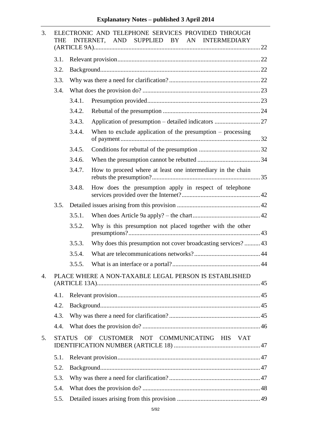| 3.               | <b>THE</b>                                            | ELECTRONIC AND TELEPHONE SERVICES PROVIDED THROUGH | INTERNET, AND SUPPLIED BY AN INTERMEDIARY                      |  |                                    |  |  |  |  |  |  |  |
|------------------|-------------------------------------------------------|----------------------------------------------------|----------------------------------------------------------------|--|------------------------------------|--|--|--|--|--|--|--|
|                  | 3.1.                                                  |                                                    |                                                                |  |                                    |  |  |  |  |  |  |  |
|                  | 3.2.                                                  |                                                    |                                                                |  |                                    |  |  |  |  |  |  |  |
|                  | 3.3.                                                  |                                                    |                                                                |  |                                    |  |  |  |  |  |  |  |
|                  | 3.4.                                                  |                                                    |                                                                |  |                                    |  |  |  |  |  |  |  |
|                  |                                                       | 3.4.1.                                             |                                                                |  |                                    |  |  |  |  |  |  |  |
|                  |                                                       | 3.4.2.                                             |                                                                |  |                                    |  |  |  |  |  |  |  |
|                  |                                                       | 3.4.3.                                             | Application of presumption - detailed indicators  27           |  |                                    |  |  |  |  |  |  |  |
|                  |                                                       | 3.4.4.                                             | When to exclude application of the presumption $-$ processing  |  |                                    |  |  |  |  |  |  |  |
|                  |                                                       | 3.4.5.                                             |                                                                |  |                                    |  |  |  |  |  |  |  |
|                  |                                                       | 3.4.6.                                             |                                                                |  |                                    |  |  |  |  |  |  |  |
|                  |                                                       | 3.4.7.                                             | How to proceed where at least one intermediary in the chain    |  |                                    |  |  |  |  |  |  |  |
|                  |                                                       | 3.4.8.                                             | How does the presumption apply in respect of telephone         |  |                                    |  |  |  |  |  |  |  |
|                  | 3.5.                                                  |                                                    |                                                                |  |                                    |  |  |  |  |  |  |  |
|                  |                                                       | 3.5.1.                                             |                                                                |  |                                    |  |  |  |  |  |  |  |
|                  |                                                       | 3.5.2.                                             | Why is this presumption not placed together with the other     |  |                                    |  |  |  |  |  |  |  |
|                  |                                                       | 3.5.3.                                             | Why does this presumption not cover broadcasting services?  43 |  |                                    |  |  |  |  |  |  |  |
|                  |                                                       | 3.5.4.                                             |                                                                |  |                                    |  |  |  |  |  |  |  |
|                  |                                                       |                                                    |                                                                |  |                                    |  |  |  |  |  |  |  |
| $\overline{4}$ . | PLACE WHERE A NON-TAXABLE LEGAL PERSON IS ESTABLISHED |                                                    |                                                                |  |                                    |  |  |  |  |  |  |  |
|                  | 4.1.                                                  |                                                    |                                                                |  |                                    |  |  |  |  |  |  |  |
|                  | 4.2.                                                  |                                                    |                                                                |  |                                    |  |  |  |  |  |  |  |
|                  | 4.3.                                                  |                                                    |                                                                |  |                                    |  |  |  |  |  |  |  |
|                  | 4.4.                                                  |                                                    |                                                                |  |                                    |  |  |  |  |  |  |  |
| 5.               | <b>STATUS</b>                                         | OF                                                 |                                                                |  | CUSTOMER NOT COMMUNICATING HIS VAT |  |  |  |  |  |  |  |
|                  | 5.1.                                                  |                                                    |                                                                |  |                                    |  |  |  |  |  |  |  |
|                  | 5.2.                                                  |                                                    |                                                                |  |                                    |  |  |  |  |  |  |  |
|                  | 5.3.                                                  |                                                    |                                                                |  |                                    |  |  |  |  |  |  |  |
|                  | 5.4.                                                  |                                                    |                                                                |  |                                    |  |  |  |  |  |  |  |
|                  | 5.5.                                                  |                                                    |                                                                |  |                                    |  |  |  |  |  |  |  |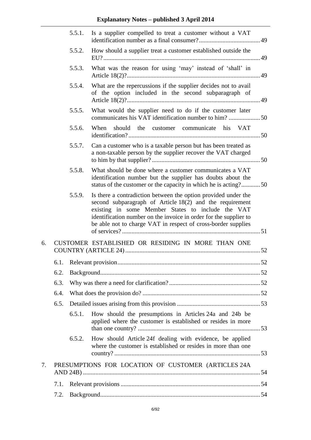|    |      | 5.5.1. | Is a supplier compelled to treat a customer without a VAT                                                                                                                                                                                                                                                             |    |
|----|------|--------|-----------------------------------------------------------------------------------------------------------------------------------------------------------------------------------------------------------------------------------------------------------------------------------------------------------------------|----|
|    |      | 5.5.2. | How should a supplier treat a customer established outside the                                                                                                                                                                                                                                                        |    |
|    |      | 5.5.3. | What was the reason for using 'may' instead of 'shall' in                                                                                                                                                                                                                                                             | 49 |
|    |      | 5.5.4. | What are the repercussions if the supplier decides not to avail<br>of the option included in the second subparagraph of                                                                                                                                                                                               |    |
|    |      | 5.5.5. | What would the supplier need to do if the customer later<br>communicates his VAT identification number to him? 50                                                                                                                                                                                                     |    |
|    |      | 5.5.6. | When should the customer communicate his VAT                                                                                                                                                                                                                                                                          |    |
|    |      | 5.5.7. | Can a customer who is a taxable person but has been treated as<br>a non-taxable person by the supplier recover the VAT charged                                                                                                                                                                                        |    |
|    |      | 5.5.8. | What should be done where a customer communicates a VAT<br>identification number but the supplier has doubts about the<br>status of the customer or the capacity in which he is acting?50                                                                                                                             |    |
|    |      | 5.5.9. | Is there a contradiction between the option provided under the<br>second subparagraph of Article 18(2) and the requirement<br>existing in some Member States to include the VAT<br>identification number on the invoice in order for the supplier to<br>be able not to charge VAT in respect of cross-border supplies |    |
| 6. |      |        | CUSTOMER ESTABLISHED OR RESIDING IN MORE THAN ONE                                                                                                                                                                                                                                                                     |    |
|    |      |        |                                                                                                                                                                                                                                                                                                                       |    |
|    | 6.2. |        |                                                                                                                                                                                                                                                                                                                       |    |
|    | 6.3. |        |                                                                                                                                                                                                                                                                                                                       |    |
|    | 6.4. |        |                                                                                                                                                                                                                                                                                                                       |    |
|    | 6.5. |        |                                                                                                                                                                                                                                                                                                                       |    |
|    |      | 6.5.1. | How should the presumptions in Articles 24a and 24b be<br>applied where the customer is established or resides in more                                                                                                                                                                                                |    |
|    |      | 6.5.2. | How should Article 24f dealing with evidence, be applied<br>where the customer is established or resides in more than one                                                                                                                                                                                             |    |
| 7. |      |        | PRESUMPTIONS FOR LOCATION OF CUSTOMER (ARTICLES 24A                                                                                                                                                                                                                                                                   |    |
|    | 7.1. |        |                                                                                                                                                                                                                                                                                                                       |    |
|    | 7.2. |        |                                                                                                                                                                                                                                                                                                                       |    |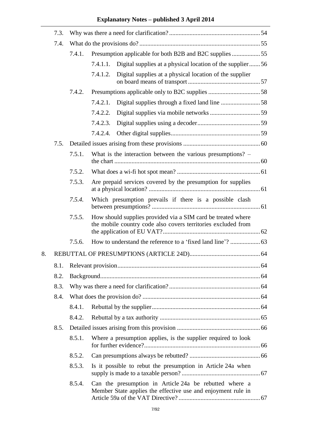|      |        | <u> 1989 - Johann Stoff, Amerikaansk politiker († 1908)</u>                                                                   |  |  |  |  |  |
|------|--------|-------------------------------------------------------------------------------------------------------------------------------|--|--|--|--|--|
| 7.3. |        |                                                                                                                               |  |  |  |  |  |
| 7.4. |        |                                                                                                                               |  |  |  |  |  |
|      | 7.4.1. | Presumption applicable for both B2B and B2C supplies 55                                                                       |  |  |  |  |  |
|      |        | Digital supplies at a physical location of the supplier56<br>7.4.1.1.                                                         |  |  |  |  |  |
|      |        | Digital supplies at a physical location of the supplier<br>7.4.1.2.                                                           |  |  |  |  |  |
|      | 7.4.2. |                                                                                                                               |  |  |  |  |  |
|      |        | 7.4.2.1.                                                                                                                      |  |  |  |  |  |
|      |        | 7.4.2.2.                                                                                                                      |  |  |  |  |  |
|      |        | 7.4.2.3.                                                                                                                      |  |  |  |  |  |
|      |        | 7.4.2.4.                                                                                                                      |  |  |  |  |  |
| 7.5. |        |                                                                                                                               |  |  |  |  |  |
|      | 7.5.1. | What is the interaction between the various presumptions? $-$                                                                 |  |  |  |  |  |
|      | 7.5.2. |                                                                                                                               |  |  |  |  |  |
|      | 7.5.3. | Are prepaid services covered by the presumption for supplies                                                                  |  |  |  |  |  |
|      | 7.5.4. | Which presumption prevails if there is a possible clash                                                                       |  |  |  |  |  |
|      | 7.5.5. | How should supplies provided via a SIM card be treated where<br>the mobile country code also covers territories excluded from |  |  |  |  |  |
|      | 7.5.6. |                                                                                                                               |  |  |  |  |  |
| 8.   |        |                                                                                                                               |  |  |  |  |  |
| 8.1. |        |                                                                                                                               |  |  |  |  |  |
| 8.2. |        |                                                                                                                               |  |  |  |  |  |
| 8.3. |        |                                                                                                                               |  |  |  |  |  |
| 8.4. |        |                                                                                                                               |  |  |  |  |  |
|      | 8.4.1. |                                                                                                                               |  |  |  |  |  |
|      | 8.4.2. |                                                                                                                               |  |  |  |  |  |
| 8.5. |        |                                                                                                                               |  |  |  |  |  |
|      | 8.5.1. | Where a presumption applies, is the supplier required to look                                                                 |  |  |  |  |  |
|      | 8.5.2. |                                                                                                                               |  |  |  |  |  |
|      | 8.5.3. | Is it possible to rebut the presumption in Article 24a when                                                                   |  |  |  |  |  |
|      | 8.5.4. | Can the presumption in Article 24a be rebutted where a<br>Member State applies the effective use and enjoyment rule in        |  |  |  |  |  |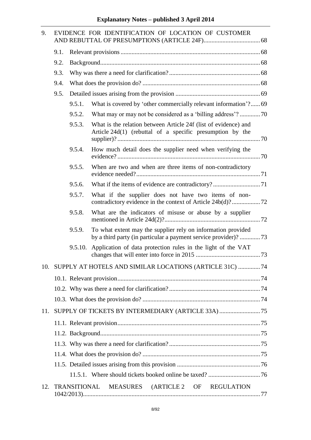| 9.  | EVIDENCE FOR IDENTIFICATION OF LOCATION OF CUSTOMER |         |                                                                                                                                  |  |  |  |  |  |
|-----|-----------------------------------------------------|---------|----------------------------------------------------------------------------------------------------------------------------------|--|--|--|--|--|
|     | 9.1.                                                |         |                                                                                                                                  |  |  |  |  |  |
|     | 9.2.                                                |         |                                                                                                                                  |  |  |  |  |  |
|     | 9.3.                                                |         |                                                                                                                                  |  |  |  |  |  |
|     | 9.4.                                                |         |                                                                                                                                  |  |  |  |  |  |
|     | 9.5.                                                |         |                                                                                                                                  |  |  |  |  |  |
|     |                                                     | 9.5.1.  | What is covered by 'other commercially relevant information'? 69                                                                 |  |  |  |  |  |
|     |                                                     | 9.5.2.  |                                                                                                                                  |  |  |  |  |  |
|     |                                                     | 9.5.3.  | What is the relation between Article 24f (list of evidence) and<br>Article $24d(1)$ (rebuttal of a specific presumption by the   |  |  |  |  |  |
|     |                                                     | 9.5.4.  | How much detail does the supplier need when verifying the                                                                        |  |  |  |  |  |
|     |                                                     | 9.5.5.  | When are two and when are three items of non-contradictory                                                                       |  |  |  |  |  |
|     |                                                     | 9.5.6.  |                                                                                                                                  |  |  |  |  |  |
|     |                                                     | 9.5.7.  | What if the supplier does not have two items of non-                                                                             |  |  |  |  |  |
|     |                                                     | 9.5.8.  | What are the indicators of misuse or abuse by a supplier                                                                         |  |  |  |  |  |
|     |                                                     | 9.5.9.  | To what extent may the supplier rely on information provided<br>by a third party (in particular a payment service provider)?  73 |  |  |  |  |  |
|     |                                                     | 9.5.10. | Application of data protection rules in the light of the VAT                                                                     |  |  |  |  |  |
| 10. |                                                     |         | SUPPLY AT HOTELS AND SIMILAR LOCATIONS (ARTICLE 31C)  74                                                                         |  |  |  |  |  |
|     |                                                     |         |                                                                                                                                  |  |  |  |  |  |
|     |                                                     |         |                                                                                                                                  |  |  |  |  |  |
|     |                                                     |         |                                                                                                                                  |  |  |  |  |  |
| 11. |                                                     |         |                                                                                                                                  |  |  |  |  |  |
|     |                                                     |         |                                                                                                                                  |  |  |  |  |  |
|     |                                                     |         |                                                                                                                                  |  |  |  |  |  |
|     |                                                     |         |                                                                                                                                  |  |  |  |  |  |
|     |                                                     |         |                                                                                                                                  |  |  |  |  |  |
|     |                                                     |         |                                                                                                                                  |  |  |  |  |  |
|     |                                                     |         |                                                                                                                                  |  |  |  |  |  |
| 12. |                                                     |         | (ARTICLE 2 OF REGULATION<br>TRANSITIONAL MEASURES                                                                                |  |  |  |  |  |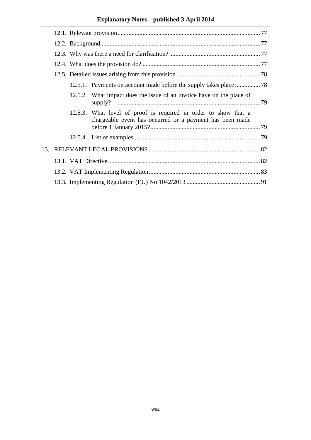|  |  | 12.5.1. Payments on account made before the supply takes place  78                                                          |  |  |  |  |
|--|--|-----------------------------------------------------------------------------------------------------------------------------|--|--|--|--|
|  |  | 12.5.2. What impact does the issue of an invoice have on the place of                                                       |  |  |  |  |
|  |  | 12.5.3. What level of proof is required in order to show that a<br>chargeable event has occurred or a payment has been made |  |  |  |  |
|  |  |                                                                                                                             |  |  |  |  |
|  |  |                                                                                                                             |  |  |  |  |
|  |  |                                                                                                                             |  |  |  |  |
|  |  |                                                                                                                             |  |  |  |  |
|  |  |                                                                                                                             |  |  |  |  |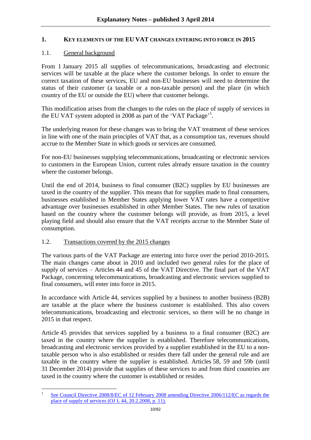#### <span id="page-9-0"></span>**1. KEY ELEMENTS OF THE EU VAT CHANGES ENTERING INTO FORCE IN 2015**

#### <span id="page-9-1"></span>1.1. General background

From 1 January 2015 all supplies of telecommunications, broadcasting and electronic services will be taxable at the place where the customer belongs. In order to ensure the correct taxation of these services, EU and non-EU businesses will need to determine the status of their customer (a taxable or a non-taxable person) and the place (in which country of the EU or outside the EU) where that customer belongs.

This modification arises from the changes to the rules on the place of supply of services in the EU VAT system adopted in 2008 as part of the 'VAT Package'<sup>1</sup>.

The underlying reason for these changes was to bring the VAT treatment of these services in line with one of the main principles of VAT that, as a consumption tax, revenues should accrue to the Member State in which goods or services are consumed.

For non-EU businesses supplying telecommunications, broadcasting or electronic services to customers in the European Union, current rules already ensure taxation in the country where the customer belongs.

Until the end of 2014, business to final consumer (B2C) supplies by EU businesses are taxed in the country of the supplier. This means that for supplies made to final consumers, businesses established in Member States applying lower VAT rates have a competitive advantage over businesses established in other Member States. The new rules of taxation based on the country where the customer belongs will provide, as from 2015, a level playing field and should also ensure that the VAT receipts accrue to the Member State of consumption.

#### <span id="page-9-2"></span>1.2. Transactions covered by the 2015 changes

The various parts of the VAT Package are entering into force over the period 2010-2015. The main changes came about in 2010 and included two general rules for the place of supply of services – Articles 44 and 45 of the VAT Directive. The final part of the VAT Package, concerning telecommunications, broadcasting and electronic services supplied to final consumers, will enter into force in 2015.

In accordance with Article 44, services supplied by a business to another business (B2B) are taxable at the place where the business customer is established. This also covers telecommunications, broadcasting and electronic services, so there will be no change in 2015 in that respect.

Article 45 provides that services supplied by a business to a final consumer (B2C) are taxed in the country where the supplier is established. Therefore telecommunications, broadcasting and electronic services provided by a supplier established in the EU to a nontaxable person who is also established or resides there fall under the general rule and are taxable in the country where the supplier is established. Articles 58, 59 and 59b (until 31 December 2014) provide that supplies of these services to and from third countries are taxed in the country where the customer is established or resides.

<sup>1</sup> 1 See Council Directive 2008/8/EC of 12 [February 2008 amending Directive 2006/112/EC as regards the](http://eur-lex.europa.eu/legal-content/EN/TXT/PDF/?uri=CELEX:32008L0008&rid=2) [place of supply of services \(OJ](http://eur-lex.europa.eu/legal-content/EN/TXT/PDF/?uri=CELEX:32008L0008&rid=2) L 44, 20.2.2008, p. 11).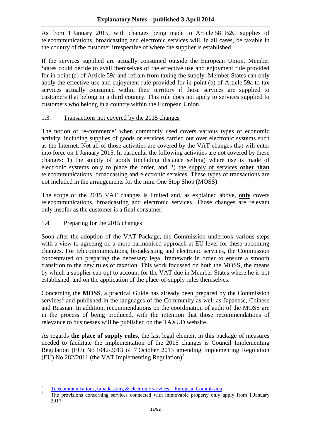As from 1 January 2015, with changes being made to Article 58 B2C supplies of telecommunications, broadcasting and electronic services will, in all cases, be taxable in the country of the customer irrespective of where the supplier is established.

If the services supplied are actually consumed outside the European Union, Member States could decide to avail themselves of the effective use and enjoyment rule provided for in point (a) of Article 59a and refrain from taxing the supply. Member States can only apply the effective use and enjoyment rule provided for in point (b) of Article 59a to tax services actually consumed within their territory if those services are supplied to customers that belong in a third country. This rule does not apply to services supplied to customers who belong in a country within the European Union.

#### <span id="page-10-0"></span>1.3. Transactions not covered by the 2015 changes

The notion of 'e-commerce' when commonly used covers various types of economic activity, including supplies of goods or services carried out over electronic systems such as the Internet. Not all of those activities are covered by the VAT changes that will enter into force on 1 January 2015. In particular the following activities are not covered by these changes: 1) the supply of goods (including distance selling) where use is made of electronic systems only to place the order, and 2) the supply of services **other than** telecommunications, broadcasting and electronic services. These types of transactions are not included in the arrangements for the mini One Stop Shop (MOSS).

The scope of the 2015 VAT changes is limited and, as explained above, **only** covers telecommunications, broadcasting and electronic services. Those changes are relevant only insofar as the customer is a final consumer.

#### <span id="page-10-1"></span>1.4. Preparing for the 2015 changes

<u>.</u>

Soon after the adoption of the VAT Package, the Commission undertook various steps with a view to agreeing on a more harmonised approach at EU level for these upcoming changes. For telecommunications, broadcasting and electronic services, the Commission concentrated on preparing the necessary legal framework in order to ensure a smooth transition to the new rules of taxation. This work focussed on both the MOSS, the means by which a supplier can opt to account for the VAT due in Member States where he is not established, and on the application of the place-of-supply rules themselves.

Concerning the **MOSS**, a practical Guide has already been prepared by the Commission services<sup>2</sup> and published in the languages of the Community as well as Japanese, Chinese and Russian. In addition, recommendations on the coordination of audit of the MOSS are in the process of being produced, with the intention that those recommendations of relevance to businesses will be published on the TAXUD website.

As regards **the place of supply rules**, the last legal element in this package of measures needed to facilitate the implementation of the 2015 changes is Council Implementing Regulation (EU) No 1042/2013 of 7 October 2013 amending Implementing Regulation (EU) No  $282/2011$  (the VAT Implementing Regulation)<sup>3</sup>.

 $\frac{2}{3}$  [Telecommunications, broadcasting & electronic services –](http://ec.europa.eu/taxation_customs/taxation/vat/how_vat_works/telecom/index_en.htm) European Commission

The provisions concerning services connected with immovable property only apply from 1 January 2017.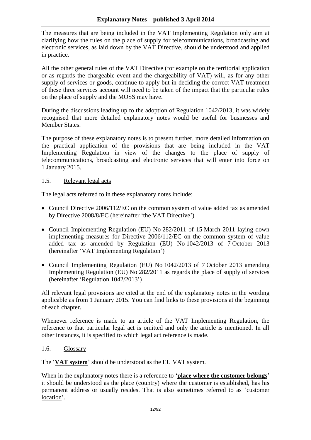The measures that are being included in the VAT Implementing Regulation only aim at clarifying how the rules on the place of supply for telecommunications, broadcasting and electronic services, as laid down by the VAT Directive, should be understood and applied in practice.

All the other general rules of the VAT Directive (for example on the territorial application or as regards the chargeable event and the chargeability of VAT) will, as for any other supply of services or goods, continue to apply but in deciding the correct VAT treatment of these three services account will need to be taken of the impact that the particular rules on the place of supply and the MOSS may have.

During the discussions leading up to the adoption of Regulation 1042/2013, it was widely recognised that more detailed explanatory notes would be useful for businesses and Member States.

The purpose of these explanatory notes is to present further, more detailed information on the practical application of the provisions that are being included in the VAT Implementing Regulation in view of the changes to the place of supply of telecommunications, broadcasting and electronic services that will enter into force on 1 January 2015.

#### <span id="page-11-0"></span>1.5. Relevant legal acts

The legal acts referred to in these explanatory notes include:

- Council Directive 2006/112/EC on the common system of value added tax as amended by Directive 2008/8/EC (hereinafter 'the VAT Directive')
- Council Implementing Regulation (EU) No 282/2011 of 15 March 2011 laying down implementing measures for Directive 2006/112/EC on the common system of value added tax as amended by Regulation (EU) No 1042/2013 of 7 October 2013 (hereinafter 'VAT Implementing Regulation')
- Council Implementing Regulation (EU) No 1042/2013 of 7 October 2013 amending Implementing Regulation (EU) No 282/2011 as regards the place of supply of services (hereinafter 'Regulation 1042/2013')

All relevant legal provisions are cited at the end of the explanatory notes in the wording applicable as from 1 January 2015. You can find links to these provisions at the beginning of each chapter.

Whenever reference is made to an article of the VAT Implementing Regulation, the reference to that particular legal act is omitted and only the article is mentioned. In all other instances, it is specified to which legal act reference is made.

#### <span id="page-11-1"></span>1.6. Glossary

The '**VAT system**' should be understood as the EU VAT system.

When in the explanatory notes there is a reference to '**place where the customer belongs**' it should be understood as the place (country) where the customer is established, has his permanent address or usually resides. That is also sometimes referred to as 'customer location'.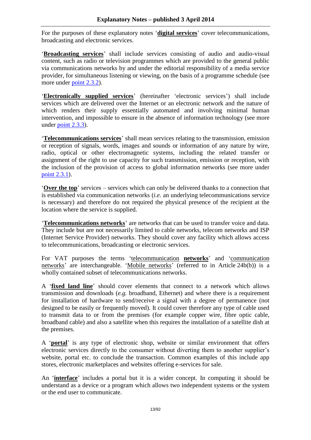For the purposes of these explanatory notes '**digital services**' cover telecommunications, broadcasting and electronic services.

'**Broadcasting services**' shall include services consisting of audio and audio-visual content, such as radio or television programmes which are provided to the general public via communications networks by and under the editorial responsibility of a media service provider, for simultaneous listening or viewing, on the basis of a programme schedule (see more under [point](#page-15-2) 2.3.2).

'**Electronically supplied services**' (hereinafter 'electronic services') shall include services which are delivered over the Internet or an electronic network and the nature of which renders their supply essentially automated and involving minimal human intervention, and impossible to ensure in the absence of information technology (see more under [point](#page-16-0) 2.3.3).

'**Telecommunications services**' shall mean services relating to the transmission, emission or reception of signals, words, images and sounds or information of any nature by wire, radio, optical or other electromagnetic systems, including the related transfer or assignment of the right to use capacity for such transmission, emission or reception, with the inclusion of the provision of access to global information networks (see more under point [2.3.1\)](#page-15-1).

'**Over the top**' services – services which can only be delivered thanks to a connection that is established via communication networks (*i.e.* an underlying telecommunications service is necessary) and therefore do not required the physical presence of the recipient at the location where the service is supplied.

'**Telecommunications networks**' are networks that can be used to transfer voice and data. They include but are not necessarily limited to cable networks, telecom networks and ISP (Internet Service Provider) networks. They should cover any facility which allows access to telecommunications, broadcasting or electronic services.

For VAT purposes the terms 'telecommunication **networks**' and 'communication networks' are interchangeable. 'Mobile networks' (referred to in Article 24b(b)) is a wholly contained subset of telecommunications networks.

A '**fixed land line**' should cover elements that connect to a network which allows transmission and downloads (*e.g.* broadband, Ethernet) and where there is a requirement for installation of hardware to send/receive a signal with a degree of permanence (not designed to be easily or frequently moved). It could cover therefore any type of cable used to transmit data to or from the premises (for example copper wire, fibre optic cable, broadband cable) and also a satellite when this requires the installation of a satellite dish at the premises.

A '**portal**' is any type of electronic shop, website or similar environment that offers electronic services directly to the consumer without diverting them to another supplier's website, portal etc. to conclude the transaction. Common examples of this include app stores, electronic marketplaces and websites offering e-services for sale.

An '**interface**' includes a portal but it is a wider concept. In computing it should be understand as a device or a program which allows two independent systems or the system or the end user to communicate.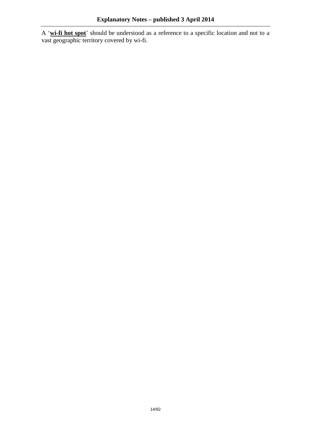A '**wi-fi hot spot**' should be understood as a reference to a specific location and not to a vast geographic territory covered by wi-fi.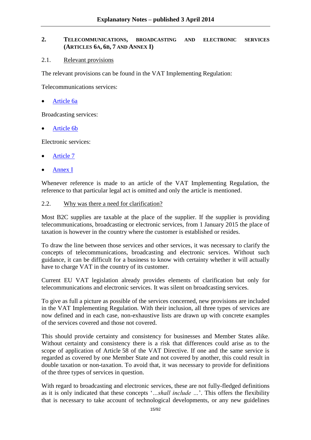#### <span id="page-14-0"></span>**2. TELECOMMUNICATIONS, BROADCASTING AND ELECTRONIC SERVICES (ARTICLES 6A, 6B, 7 AND ANNEX I)**

#### <span id="page-14-1"></span>2.1. Relevant provisions

The relevant provisions can be found in the VAT Implementing Regulation:

Telecommunications services:

[Article 6a](#page-82-1)

Broadcasting services:

[Article 6b](#page-83-0)

Electronic services:

- [Article 7](#page-84-0)
- [Annex I](#page-85-0)

Whenever reference is made to an article of the VAT Implementing Regulation, the reference to that particular legal act is omitted and only the article is mentioned.

#### <span id="page-14-2"></span>2.2. Why was there a need for clarification?

Most B2C supplies are taxable at the place of the supplier. If the supplier is providing telecommunications, broadcasting or electronic services, from 1 January 2015 the place of taxation is however in the country where the customer is established or resides.

To draw the line between those services and other services, it was necessary to clarify the concepts of telecommunications, broadcasting and electronic services. Without such guidance, it can be difficult for a business to know with certainty whether it will actually have to charge VAT in the country of its customer.

Current EU VAT legislation already provides elements of clarification but only for telecommunications and electronic services. It was silent on broadcasting services.

To give as full a picture as possible of the services concerned, new provisions are included in the VAT Implementing Regulation. With their inclusion, all three types of services are now defined and in each case, non-exhaustive lists are drawn up with concrete examples of the services covered and those not covered.

This should provide certainty and consistency for businesses and Member States alike. Without certainty and consistency there is a risk that differences could arise as to the scope of application of Article 58 of the VAT Directive. If one and the same service is regarded as covered by one Member State and not covered by another, this could result in double taxation or non-taxation. To avoid that, it was necessary to provide for definitions of the three types of services in question.

With regard to broadcasting and electronic services, these are not fully-fledged definitions as it is only indicated that these concepts '*…shall include …*'. This offers the flexibility that is necessary to take account of technological developments, or any new guidelines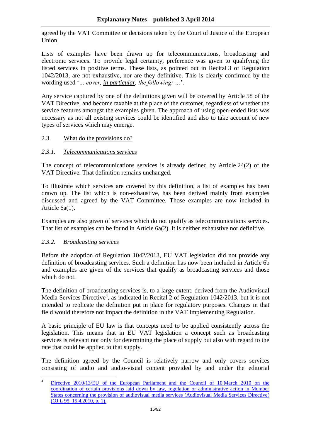agreed by the VAT Committee or decisions taken by the Court of Justice of the European Union.

Lists of examples have been drawn up for telecommunications, broadcasting and electronic services. To provide legal certainty, preference was given to qualifying the listed services in positive terms. These lists, as pointed out in Recital 3 of Regulation 1042/2013, are not exhaustive, nor are they definitive. This is clearly confirmed by the wording used '*… cover, in particular, the following: …*'.

Any service captured by one of the definitions given will be covered by Article 58 of the VAT Directive, and become taxable at the place of the customer, regardless of whether the service features amongst the examples given. The approach of using open-ended lists was necessary as not all existing services could be identified and also to take account of new types of services which may emerge.

#### <span id="page-15-0"></span>2.3. What do the provisions do?

#### <span id="page-15-1"></span>*2.3.1. Telecommunications services*

The concept of telecommunications services is already defined by Article 24(2) of the VAT Directive. That definition remains unchanged.

To illustrate which services are covered by this definition, a list of examples has been drawn up. The list which is non-exhaustive, has been derived mainly from examples discussed and agreed by the VAT Committee. Those examples are now included in Article 6a(1).

Examples are also given of services which do not qualify as telecommunications services. That list of examples can be found in Article 6a(2). It is neither exhaustive nor definitive.

#### <span id="page-15-2"></span>*2.3.2. Broadcasting services*

1

Before the adoption of Regulation 1042/2013, EU VAT legislation did not provide any definition of broadcasting services. Such a definition has now been included in Article 6b and examples are given of the services that qualify as broadcasting services and those which do not.

The definition of broadcasting services is, to a large extent, derived from the Audiovisual Media Services Directive<sup>4</sup>, as indicated in Recital 2 of Regulation 1042/2013, but it is not intended to replicate the definition put in place for regulatory purposes. Changes in that field would therefore not impact the definition in the VAT Implementing Regulation.

A basic principle of EU law is that concepts need to be applied consistently across the legislation. This means that in EU VAT legislation a concept such as broadcasting services is relevant not only for determining the place of supply but also with regard to the rate that could be applied to that supply.

The definition agreed by the Council is relatively narrow and only covers services consisting of audio and audio-visual content provided by and under the editorial

[Directive 2010/13/EU of the European Parliament and the Council of 10](http://eur-lex.europa.eu/legal-content/EN/TXT/PDF/?uri=CELEX:02010L0013-20100505&rid=1) March 2010 on the [coordination of certain provisions laid down by law, regulation or administrative action in Member](http://eur-lex.europa.eu/legal-content/EN/TXT/PDF/?uri=CELEX:02010L0013-20100505&rid=1)  [States concerning the provision of audiovisual media services \(Audiovisual Media Services Directive\)](http://eur-lex.europa.eu/legal-content/EN/TXT/PDF/?uri=CELEX:02010L0013-20100505&rid=1)  (OJ L [95, 15.4.2010, p.](http://eur-lex.europa.eu/legal-content/EN/TXT/PDF/?uri=CELEX:02010L0013-20100505&rid=1) 1).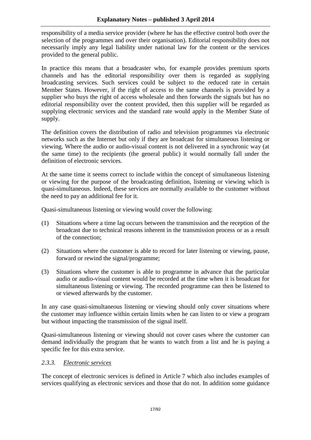responsibility of a media service provider (where he has the effective control both over the selection of the programmes and over their organisation). Editorial responsibility does not necessarily imply any legal liability under national law for the content or the services provided to the general public.

In practice this means that a broadcaster who, for example provides premium sports channels and has the editorial responsibility over them is regarded as supplying broadcasting services. Such services could be subject to the reduced rate in certain Member States. However, if the right of access to the same channels is provided by a supplier who buys the right of access wholesale and then forwards the signals but has no editorial responsibility over the content provided, then this supplier will be regarded as supplying electronic services and the standard rate would apply in the Member State of supply.

The definition covers the distribution of radio and television programmes via electronic networks such as the Internet but only if they are broadcast for simultaneous listening or viewing. Where the audio or audio-visual content is not delivered in a synchronic way (at the same time) to the recipients (the general public) it would normally fall under the definition of electronic services.

At the same time it seems correct to include within the concept of simultaneous listening or viewing for the purpose of the broadcasting definition, listening or viewing which is quasi-simultaneous. Indeed, these services are normally available to the customer without the need to pay an additional fee for it.

Quasi-simultaneous listening or viewing would cover the following:

- (1) Situations where a time lag occurs between the transmission and the reception of the broadcast due to technical reasons inherent in the transmission process or as a result of the connection;
- (2) Situations where the customer is able to record for later listening or viewing, pause, forward or rewind the signal/programme;
- (3) Situations where the customer is able to programme in advance that the particular audio or audio-visual content would be recorded at the time when it is broadcast for simultaneous listening or viewing. The recorded programme can then be listened to or viewed afterwards by the customer.

In any case quasi-simultaneous listening or viewing should only cover situations where the customer may influence within certain limits when he can listen to or view a program but without impacting the transmission of the signal itself.

Quasi-simultaneous listening or viewing should not cover cases where the customer can demand individually the program that he wants to watch from a list and he is paying a specific fee for this extra service.

#### <span id="page-16-0"></span>*2.3.3. Electronic services*

The concept of electronic services is defined in Article 7 which also includes examples of services qualifying as electronic services and those that do not. In addition some guidance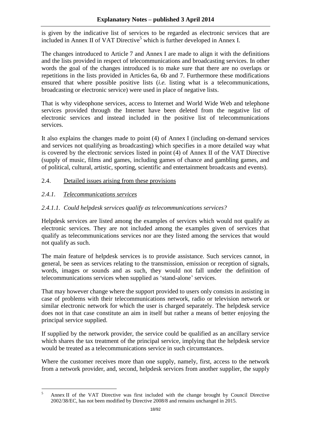is given by the indicative list of services to be regarded as electronic services that are included in Annex II of VAT Directive<sup>5</sup> which is further developed in Annex I.

The changes introduced to Article 7 and Annex I are made to align it with the definitions and the lists provided in respect of telecommunications and broadcasting services. In other words the goal of the changes introduced is to make sure that there are no overlaps or repetitions in the lists provided in Articles 6a, 6b and 7. Furthermore these modifications ensured that where possible positive lists (*i.e.* listing what is a telecommunications, broadcasting or electronic service) were used in place of negative lists.

That is why videophone services, access to Internet and World Wide Web and telephone services provided through the Internet have been deleted from the negative list of electronic services and instead included in the positive list of telecommunications services.

It also explains the changes made to point (4) of Annex I (including on-demand services and services not qualifying as broadcasting) which specifies in a more detailed way what is covered by the electronic services listed in point (4) of Annex II of the VAT Directive (supply of music, films and games, including games of chance and gambling games, and of political, cultural, artistic, sporting, scientific and entertainment broadcasts and events).

#### <span id="page-17-0"></span>2.4. Detailed issues arising from these provisions

#### <span id="page-17-1"></span>*2.4.1. Telecommunications services*

#### <span id="page-17-2"></span>*2.4.1.1. Could helpdesk services qualify as telecommunications services?*

Helpdesk services are listed among the examples of services which would not qualify as electronic services. They are not included among the examples given of services that qualify as telecommunications services nor are they listed among the services that would not qualify as such.

The main feature of helpdesk services is to provide assistance. Such services cannot, in general, be seen as services relating to the transmission, emission or reception of signals, words, images or sounds and as such, they would not fall under the definition of telecommunications services when supplied as 'stand-alone' services.

That may however change where the support provided to users only consists in assisting in case of problems with their telecommunications network, radio or television network or similar electronic network for which the user is charged separately. The helpdesk service does not in that case constitute an aim in itself but rather a means of better enjoying the principal service supplied.

If supplied by the network provider, the service could be qualified as an ancillary service which shares the tax treatment of the principal service, implying that the helpdesk service would be treated as a telecommunications service in such circumstances.

Where the customer receives more than one supply, namely, first, access to the network from a network provider, and, second, helpdesk services from another supplier, the supply

 $\overline{5}$ <sup>5</sup> Annex II of the VAT Directive was first included with the change brought by Council Directive 2002/38/EC, has not been modified by Directive 2008/8 and remains unchanged in 2015.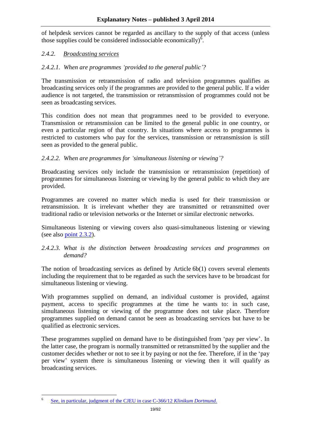of helpdesk services cannot be regarded as ancillary to the supply of that access (unless those supplies could be considered indissociable economically) $\delta$ .

#### <span id="page-18-0"></span>*2.4.2. Broadcasting services*

#### <span id="page-18-1"></span>*2.4.2.1. When are programmes 'provided to the general public'?*

The transmission or retransmission of radio and television programmes qualifies as broadcasting services only if the programmes are provided to the general public. If a wider audience is not targeted, the transmission or retransmission of programmes could not be seen as broadcasting services.

This condition does not mean that programmes need to be provided to everyone. Transmission or retransmission can be limited to the general public in one country, or even a particular region of that country. In situations where access to programmes is restricted to customers who pay for the services, transmission or retransmission is still seen as provided to the general public.

#### <span id="page-18-2"></span>*2.4.2.2. When are programmes for 'simultaneous listening or viewing'?*

Broadcasting services only include the transmission or retransmission (repetition) of programmes for simultaneous listening or viewing by the general public to which they are provided.

Programmes are covered no matter which media is used for their transmission or retransmission. It is irrelevant whether they are transmitted or retransmitted over traditional radio or television networks or the Internet or similar electronic networks.

Simultaneous listening or viewing covers also quasi-simultaneous listening or viewing (see also [point](#page-15-2) 2.3.2).

#### <span id="page-18-3"></span>*2.4.2.3. What is the distinction between broadcasting services and programmes on demand?*

The notion of broadcasting services as defined by Article 6b(1) covers several elements including the requirement that to be regarded as such the services have to be broadcast for simultaneous listening or viewing.

With programmes supplied on demand, an individual customer is provided, against payment, access to specific programmes at the time he wants to: in such case, simultaneous listening or viewing of the programme does not take place. Therefore programmes supplied on demand cannot be seen as broadcasting services but have to be qualified as electronic services.

These programmes supplied on demand have to be distinguished from 'pay per view'. In the latter case, the program is normally transmitted or retransmitted by the supplier and the customer decides whether or not to see it by paying or not the fee. Therefore, if in the 'pay per view' system there is simultaneous listening or viewing then it will qualify as broadcasting services.

 $\frac{1}{6}$ [See, in particular, judgment of the](http://curia.europa.eu/juris/liste.jsf?pro=&nat=or&oqp=&dates=&lg=&language=en&jur=C%2CT%2CF&cit=none%252CC%252CCJ%252CR%252C2008E%252C%252C%252C%252C%252C%252C%252C%252C%252C%252Ctrue%252Cfalse%252Cfalse&num=C-366%252F12&td=ALL&pcs=Oor&avg=&page=1&mat=or&jge=&for=&cid=159745) CJEU in case C-366/12 *Klinikum Dortmund*.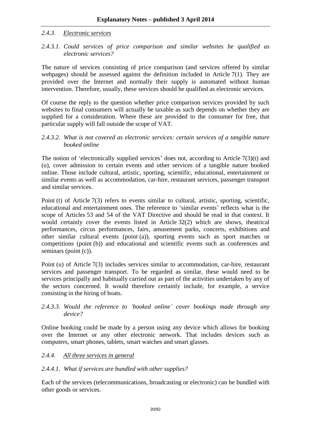#### <span id="page-19-0"></span>*2.4.3. Electronic services*

<span id="page-19-1"></span>*2.4.3.1. Could services of price comparison and similar websites be qualified as electronic services?*

The nature of services consisting of price comparison (and services offered by similar webpages) should be assessed against the definition included in Article 7(1). They are provided over the Internet and normally their supply is automated without human intervention. Therefore, usually, these services should be qualified as electronic services.

Of course the reply to the question whether price comparison services provided by such websites to final consumers will actually be taxable as such depends on whether they are supplied for a consideration. Where these are provided to the consumer for free, that particular supply will fall outside the scope of VAT.

#### <span id="page-19-2"></span>*2.4.3.2. What is not covered as electronic services: certain services of a tangible nature booked online*

The notion of 'electronically supplied services' does not, according to Article  $7(3)(t)$  and (u), cover admission to certain events and other services of a tangible nature booked online. Those include cultural, artistic, sporting, scientific, educational, entertainment or similar events as well as accommodation, car-hire, restaurant services, passenger transport and similar services.

Point (t) of Article 7(3) refers to events similar to cultural, artistic, sporting, scientific, educational and entertainment ones. The reference to 'similar events' reflects what is the scope of Articles 53 and 54 of the VAT Directive and should be read in that context. It would certainly cover the events listed in Article 32(2) which are shows, theatrical performances, circus performances, fairs, amusement parks, concerts, exhibitions and other similar cultural events (point (a)), sporting events such as sport matches or competitions (point (b)) and educational and scientific events such as conferences and seminars (point (c)).

Point (u) of Article 7(3) includes services similar to accommodation, car-hire, restaurant services and passenger transport. To be regarded as similar, these would need to be services principally and habitually carried out as part of the activities undertaken by any of the sectors concerned. It would therefore certainly include, for example, a service consisting in the hiring of boats.

#### <span id="page-19-3"></span>*2.4.3.3. Would the reference to 'booked online' cover bookings made through any device?*

Online booking could be made by a person using any device which allows for booking over the Internet or any other electronic network. That includes devices such as computers, smart phones, tablets, smart watches and smart glasses.

#### <span id="page-19-4"></span>*2.4.4. All three services in general*

#### <span id="page-19-5"></span>*2.4.4.1. What if services are bundled with other supplies?*

Each of the services (telecommunications, broadcasting or electronic) can be bundled with other goods or services.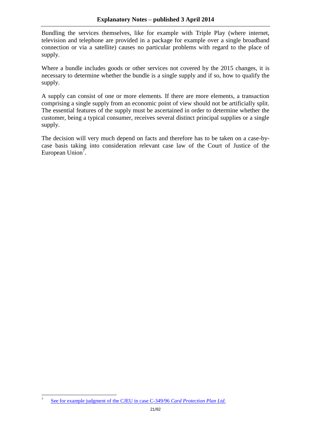Bundling the services themselves, like for example with Triple Play (where internet, television and telephone are provided in a package for example over a single broadband connection or via a satellite) causes no particular problems with regard to the place of supply.

Where a bundle includes goods or other services not covered by the 2015 changes, it is necessary to determine whether the bundle is a single supply and if so, how to qualify the supply.

A supply can consist of one or more elements. If there are more elements, a transaction comprising a single supply from an economic point of view should not be artificially split. The essential features of the supply must be ascertained in order to determine whether the customer, being a typical consumer, receives several distinct principal supplies or a single supply.

The decision will very much depend on facts and therefore has to be taken on a case-bycase basis taking into consideration relevant case law of the Court of Justice of the European Union<sup>7</sup>.

 $\frac{1}{7}$ [See for example judgment of the CJEU in case C-349/96](http://curia.europa.eu/juris/liste.jsf?pro=&nat=or&oqp=&dates=&lg=&language=en&jur=C%2CT%2CF&cit=none%252CC%252CCJ%252CR%252C2008E%252C%252C%252C%252C%252C%252C%252C%252C%252C%252Ctrue%252Cfalse%252Cfalse&num=C-349%252F96&td=ALL&pcs=Oor&avg=&page=1&mat=or&jge=&for=&cid=159745) *Card Protection Plan Ltd*.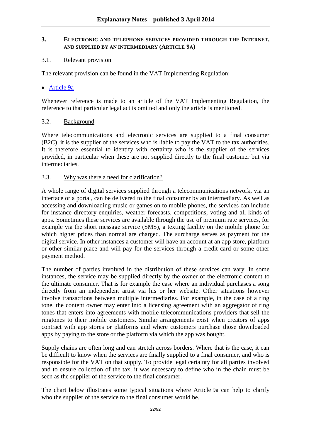#### <span id="page-21-0"></span>**3. ELECTRONIC AND TELEPHONE SERVICES PROVIDED THROUGH THE INTERNET, AND SUPPLIED BY AN INTERMEDIARY (ARTICLE 9A)**

#### <span id="page-21-1"></span>3.1. Relevant provision

The relevant provision can be found in the VAT Implementing Regulation:

#### [Article](#page-87-0) 9a

Whenever reference is made to an article of the VAT Implementing Regulation, the reference to that particular legal act is omitted and only the article is mentioned.

#### <span id="page-21-2"></span>3.2. Background

Where telecommunications and electronic services are supplied to a final consumer (B2C), it is the supplier of the services who is liable to pay the VAT to the tax authorities. It is therefore essential to identify with certainty who is the supplier of the services provided, in particular when these are not supplied directly to the final customer but via intermediaries.

#### <span id="page-21-3"></span>3.3. Why was there a need for clarification?

A whole range of digital services supplied through a telecommunications network, via an interface or a portal, can be delivered to the final consumer by an intermediary. As well as accessing and downloading music or games on to mobile phones, the services can include for instance directory enquiries, weather forecasts, competitions, voting and all kinds of apps. Sometimes these services are available through the use of premium rate services, for example via the short message service (SMS), a texting facility on the mobile phone for which higher prices than normal are charged. The surcharge serves as payment for the digital service. In other instances a customer will have an account at an app store, platform or other similar place and will pay for the services through a credit card or some other payment method.

The number of parties involved in the distribution of these services can vary. In some instances, the service may be supplied directly by the owner of the electronic content to the ultimate consumer. That is for example the case where an individual purchases a song directly from an independent artist via his or her website. Other situations however involve transactions between multiple intermediaries. For example, in the case of a ring tone, the content owner may enter into a licensing agreement with an aggregator of ring tones that enters into agreements with mobile telecommunications providers that sell the ringtones to their mobile customers. Similar arrangements exist when creators of apps contract with app stores or platforms and where customers purchase those downloaded apps by paying to the store or the platform via which the app was bought.

Supply chains are often long and can stretch across borders. Where that is the case, it can be difficult to know when the services are finally supplied to a final consumer, and who is responsible for the VAT on that supply. To provide legal certainty for all parties involved and to ensure collection of the tax, it was necessary to define who in the chain must be seen as the supplier of the service to the final consumer.

The chart below illustrates some typical situations where Article 9a can help to clarify who the supplier of the service to the final consumer would be.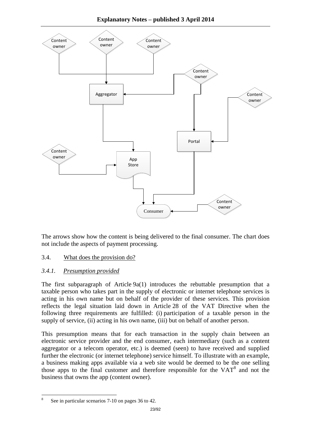

The arrows show how the content is being delivered to the final consumer. The chart does not include the aspects of payment processing.

#### <span id="page-22-0"></span>3.4. What does the provision do?

#### <span id="page-22-1"></span>*3.4.1. Presumption provided*

The first subparagraph of Article  $9a(1)$  introduces the rebuttable presumption that a taxable person who takes part in the supply of electronic or internet telephone services is acting in his own name but on behalf of the provider of these services. This provision reflects the legal situation laid down in Article 28 of the VAT Directive when the following three requirements are fulfilled: (i) participation of a taxable person in the supply of service, (ii) acting in his own name, (iii) but on behalf of another person.

This presumption means that for each transaction in the supply chain between an electronic service provider and the end consumer, each intermediary (such as a content aggregator or a telecom operator, etc.) is deemed (seen) to have received and supplied further the electronic (or internet telephone) service himself. To illustrate with an example, a business making apps available via a web site would be deemed to be the one selling those apps to the final customer and therefore responsible for the  $VAT<sup>8</sup>$  and not the business that owns the app (content owner).

 $\frac{1}{8}$ See in particular scenarios 7-10 on pages 36 to 42.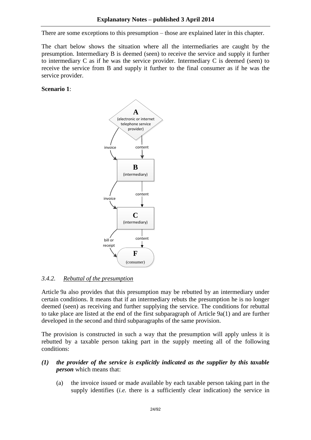There are some exceptions to this presumption – those are explained later in this chapter.

The chart below shows the situation where all the intermediaries are caught by the presumption. Intermediary B is deemed (seen) to receive the service and supply it further to intermediary C as if he was the service provider. Intermediary C is deemed (seen) to receive the service from B and supply it further to the final consumer as if he was the service provider.

**Scenario 1**:



#### <span id="page-23-0"></span>*3.4.2. Rebuttal of the presumption*

Article 9a also provides that this presumption may be rebutted by an intermediary under certain conditions. It means that if an intermediary rebuts the presumption he is no longer deemed (seen) as receiving and further supplying the service. The conditions for rebuttal to take place are listed at the end of the first subparagraph of Article 9a(1) and are further developed in the second and third subparagraphs of the same provision.

The provision is constructed in such a way that the presumption will apply unless it is rebutted by a taxable person taking part in the supply meeting all of the following conditions:

#### *(1) the provider of the service is explicitly indicated as the supplier by this taxable person* which means that:

(a) the invoice issued or made available by each taxable person taking part in the supply identifies (*i.e.* there is a sufficiently clear indication) the service in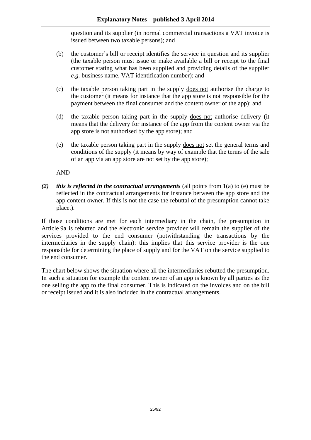question and its supplier (in normal commercial transactions a VAT invoice is issued between two taxable persons); and

- (b) the customer's bill or receipt identifies the service in question and its supplier (the taxable person must issue or make available a bill or receipt to the final customer stating what has been supplied and providing details of the supplier *e.g.* business name, VAT identification number); and
- (c) the taxable person taking part in the supply does not authorise the charge to the customer (it means for instance that the app store is not responsible for the payment between the final consumer and the content owner of the app); and
- (d) the taxable person taking part in the supply does not authorise delivery (it means that the delivery for instance of the app from the content owner via the app store is not authorised by the app store); and
- (e) the taxable person taking part in the supply does not set the general terms and conditions of the supply (it means by way of example that the terms of the sale of an app via an app store are not set by the app store);

AND

*(2) this is reflected in the contractual arrangements* (all points from 1(a) to (e) must be reflected in the contractual arrangements for instance between the app store and the app content owner. If this is not the case the rebuttal of the presumption cannot take place.).

If those conditions are met for each intermediary in the chain, the presumption in Article 9a is rebutted and the electronic service provider will remain the supplier of the services provided to the end consumer (notwithstanding the transactions by the intermediaries in the supply chain): this implies that this service provider is the one responsible for determining the place of supply and for the VAT on the service supplied to the end consumer.

The chart below shows the situation where all the intermediaries rebutted the presumption. In such a situation for example the content owner of an app is known by all parties as the one selling the app to the final consumer. This is indicated on the invoices and on the bill or receipt issued and it is also included in the contractual arrangements.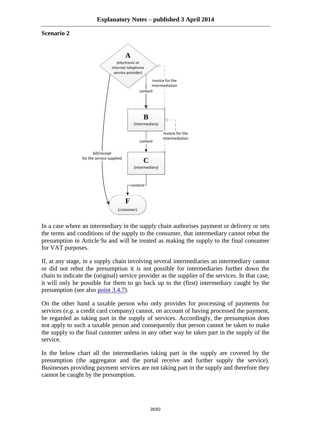#### **Scenario 2**



In a case where an intermediary in the supply chain authorises payment or delivery or sets the terms and conditions of the supply to the consumer, that intermediary cannot rebut the presumption in Article 9a and will be treated as making the supply to the final consumer for VAT purposes.

If, at any stage, in a supply chain involving several intermediaries an intermediary cannot or did not rebut the presumption it is not possible for intermediaries further down the chain to indicate the (original) service provider as the supplier of the services. In that case, it will only be possible for them to go back up to the (first) intermediary caught by the presumption (see also [point](#page-34-0) 3.4.7).

On the other hand a taxable person who only provides for processing of payments for services (*e.g.* a credit card company) cannot, on account of having processed the payment, be regarded as taking part in the supply of services. Accordingly, the presumption does not apply to such a taxable person and consequently that person cannot be taken to make the supply to the final customer unless in any other way he takes part in the supply of the service.

In the below chart all the intermediaries taking part in the supply are covered by the presumption (the aggregator and the portal receive and further supply the service). Businesses providing payment services are not taking part in the supply and therefore they cannot be caught by the presumption.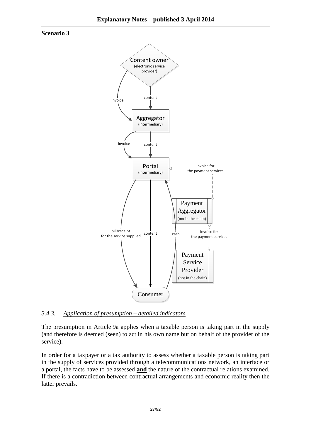#### **Scenario 3**



#### <span id="page-26-0"></span>*3.4.3. Application of presumption – detailed indicators*

The presumption in Article 9a applies when a taxable person is taking part in the supply (and therefore is deemed (seen) to act in his own name but on behalf of the provider of the service).

In order for a taxpayer or a tax authority to assess whether a taxable person is taking part in the supply of services provided through a telecommunications network, an interface or a portal, the facts have to be assessed **and** the nature of the contractual relations examined. If there is a contradiction between contractual arrangements and economic reality then the latter prevails.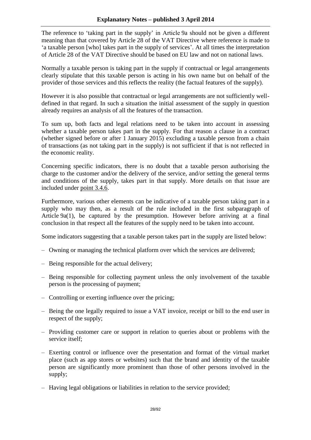The reference to 'taking part in the supply' in Article 9a should not be given a different meaning than that covered by Article 28 of the VAT Directive where reference is made to 'a taxable person [who] takes part in the supply of services'. At all times the interpretation of Article 28 of the VAT Directive should be based on EU law and not on national laws.

Normally a taxable person is taking part in the supply if contractual or legal arrangements clearly stipulate that this taxable person is acting in his own name but on behalf of the provider of those services and this reflects the reality (the factual features of the supply).

However it is also possible that contractual or legal arrangements are not sufficiently welldefined in that regard. In such a situation the initial assessment of the supply in question already requires an analysis of all the features of the transaction.

To sum up, both facts and legal relations need to be taken into account in assessing whether a taxable person takes part in the supply. For that reason a clause in a contract (whether signed before or after 1 January 2015) excluding a taxable person from a chain of transactions (as not taking part in the supply) is not sufficient if that is not reflected in the economic reality.

Concerning specific indicators, there is no doubt that a taxable person authorising the charge to the customer and/or the delivery of the service, and/or setting the general terms and conditions of the supply, takes part in that supply. More details on that issue are included under [point](#page-33-0) 3.4.6.

Furthermore, various other elements can be indicative of a taxable person taking part in a supply who may then, as a result of the rule included in the first subparagraph of Article 9a(1), be captured by the presumption. However before arriving at a final conclusion in that respect all the features of the supply need to be taken into account.

Some indicators suggesting that a taxable person takes part in the supply are listed below:

- Owning or managing the technical platform over which the services are delivered;
- Being responsible for the actual delivery;
- Being responsible for collecting payment unless the only involvement of the taxable person is the processing of payment;
- Controlling or exerting influence over the pricing;
- Being the one legally required to issue a VAT invoice, receipt or bill to the end user in respect of the supply;
- Providing customer care or support in relation to queries about or problems with the service itself;
- Exerting control or influence over the presentation and format of the virtual market place (such as app stores or websites) such that the brand and identity of the taxable person are significantly more prominent than those of other persons involved in the supply;
- Having legal obligations or liabilities in relation to the service provided;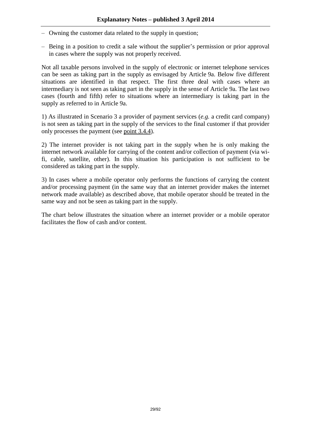- Owning the customer data related to the supply in question;
- Being in a position to credit a sale without the supplier's permission or prior approval in cases where the supply was not properly received.

Not all taxable persons involved in the supply of electronic or internet telephone services can be seen as taking part in the supply as envisaged by Article 9a. Below five different situations are identified in that respect. The first three deal with cases where an intermediary is not seen as taking part in the supply in the sense of Article 9a. The last two cases (fourth and fifth) refer to situations where an intermediary is taking part in the supply as referred to in Article 9a.

1) As illustrated in Scenario 3 a provider of payment services (*e.g.* a credit card company) is not seen as taking part in the supply of the services to the final customer if that provider only processes the payment (see [point](#page-31-0) 3.4.4).

2) The internet provider is not taking part in the supply when he is only making the internet network available for carrying of the content and/or collection of payment (via wifi, cable, satellite, other). In this situation his participation is not sufficient to be considered as taking part in the supply.

3) In cases where a mobile operator only performs the functions of carrying the content and/or processing payment (in the same way that an internet provider makes the internet network made available) as described above, that mobile operator should be treated in the same way and not be seen as taking part in the supply.

The chart below illustrates the situation where an internet provider or a mobile operator facilitates the flow of cash and/or content.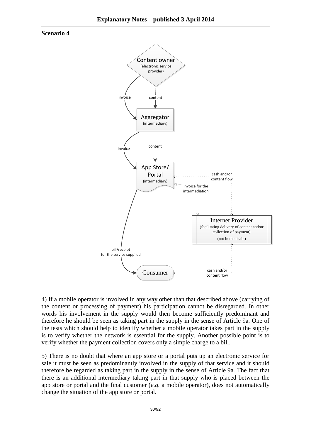#### **Scenario 4**



4) If a mobile operator is involved in any way other than that described above (carrying of the content or processing of payment) his participation cannot be disregarded. In other words his involvement in the supply would then become sufficiently predominant and therefore he should be seen as taking part in the supply in the sense of Article 9a. One of the tests which should help to identify whether a mobile operator takes part in the supply is to verify whether the network is essential for the supply. Another possible point is to verify whether the payment collection covers only a simple charge to a bill.

5) There is no doubt that where an app store or a portal puts up an electronic service for sale it must be seen as predominantly involved in the supply of that service and it should therefore be regarded as taking part in the supply in the sense of Article 9a. The fact that there is an additional intermediary taking part in that supply who is placed between the app store or portal and the final customer (*e.g.* a mobile operator), does not automatically change the situation of the app store or portal.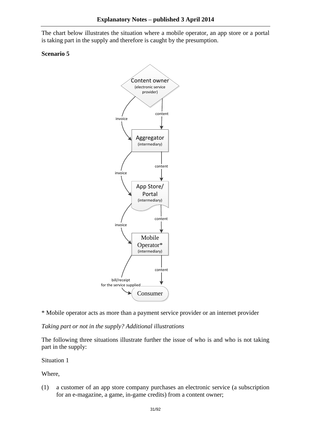The chart below illustrates the situation where a mobile operator, an app store or a portal is taking part in the supply and therefore is caught by the presumption.

#### **Scenario 5**



\* Mobile operator acts as more than a payment service provider or an internet provider

*Taking part or not in the supply? Additional illustrations*

The following three situations illustrate further the issue of who is and who is not taking part in the supply:

#### Situation 1

#### Where,

(1) a customer of an app store company purchases an electronic service (a subscription for an e-magazine, a game, in-game credits) from a content owner;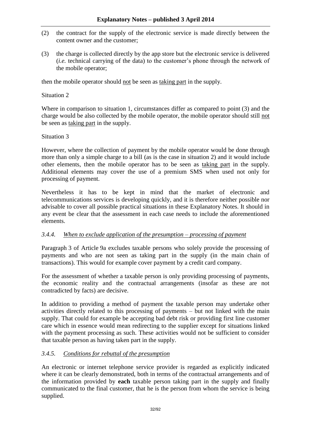- (2) the contract for the supply of the electronic service is made directly between the content owner and the customer;
- (3) the charge is collected directly by the app store but the electronic service is delivered (*i.e.* technical carrying of the data) to the customer's phone through the network of the mobile operator;

then the mobile operator should not be seen as taking part in the supply.

#### Situation 2

Where in comparison to situation 1, circumstances differ as compared to point (3) and the charge would be also collected by the mobile operator, the mobile operator should still not be seen as taking part in the supply.

#### Situation 3

However, where the collection of payment by the mobile operator would be done through more than only a simple charge to a bill (as is the case in situation 2) and it would include other elements, then the mobile operator has to be seen as taking part in the supply. Additional elements may cover the use of a premium SMS when used not only for processing of payment.

Nevertheless it has to be kept in mind that the market of electronic and telecommunications services is developing quickly, and it is therefore neither possible nor advisable to cover all possible practical situations in these Explanatory Notes. It should in any event be clear that the assessment in each case needs to include the aforementioned elements.

#### <span id="page-31-0"></span>*3.4.4. When to exclude application of the presumption – processing of payment*

Paragraph 3 of Article 9a excludes taxable persons who solely provide the processing of payments and who are not seen as taking part in the supply (in the main chain of transactions). This would for example cover payment by a credit card company.

For the assessment of whether a taxable person is only providing processing of payments, the economic reality and the contractual arrangements (insofar as these are not contradicted by facts) are decisive.

In addition to providing a method of payment the taxable person may undertake other activities directly related to this processing of payments – but not linked with the main supply. That could for example be accepting bad debt risk or providing first line customer care which in essence would mean redirecting to the supplier except for situations linked with the payment processing as such. These activities would not be sufficient to consider that taxable person as having taken part in the supply.

#### <span id="page-31-1"></span>*3.4.5. Conditions for rebuttal of the presumption*

An electronic or internet telephone service provider is regarded as explicitly indicated where it can be clearly demonstrated, both in terms of the contractual arrangements and of the information provided by **each** taxable person taking part in the supply and finally communicated to the final customer, that he is the person from whom the service is being supplied.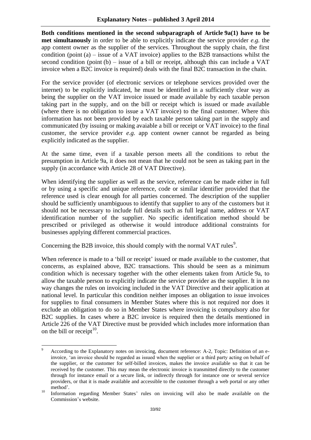**Both conditions mentioned in the second subparagraph of Article 9a(1) have to be met simultanously** in order to be able to explicitly indicate the service provider *e.g.* the app content owner as the supplier of the services. Throughout the supply chain, the first condition (point (a) – issue of a VAT invoice) applies to the B2B transactions whilst the second condition (point (b) – issue of a bill or receipt, although this can include a VAT invoice when a B2C invoice is required) deals with the final B2C transaction in the chain.

For the service provider (of electronic services or telephone services provided over the internet) to be explicitly indicated, he must be identified in a sufficiently clear way as being the supplier on the VAT invoice issued or made available by each taxable person taking part in the supply, and on the bill or receipt which is issued or made available (where there is no obligation to issue a VAT invoice) to the final customer. Where this information has not been provided by each taxable person taking part in the supply and communicated (by issuing or making avaiable a bill or receipt or VAT invoice) to the final customer, the service provider *e.g.* app content owner cannot be regarded as being explicitly indicated as the supplier.

At the same time, even if a taxable person meets all the conditions to rebut the presumption in Article 9a, it does not mean that he could not be seen as taking part in the supply (in accordance with Article 28 of VAT Directive).

When identifying the supplier as well as the service, reference can be made either in full or by using a specific and unique reference, code or similar identifier provided that the reference used is clear enough for all parties concerned. The description of the supplier should be sufficiently unambiguous to identify that supplier to any of the customers but it should not be necessary to include full details such as full legal name, address or VAT identification number of the supplier. No specific identification method should be prescribed or privileged as otherwise it would introduce additional constraints for businesses applying different commercial practices.

Concerning the B2B invoice, this should comply with the normal VAT rules<sup>9</sup>.

When reference is made to a 'bill or receipt' issued or made available to the customer, that concerns, as explained above, B2C transactions. This should be seen as a minimum condition which is necessary together with the other elements taken from Article 9a, to allow the taxable person to explicitly indicate the service provider as the supplier. It in no way changes the rules on invoicing included in the VAT Directive and their application at national level. In particular this condition neither imposes an obligation to issue invoices for supplies to final consumers in Member States where this is not required nor does it exclude an obligation to do so in Member States where invoicing is compulsory also for B2C supplies. In cases where a B2C invoice is required then the details mentioned in Article 226 of the VAT Directive must be provided which includes more information than on the bill or receipt $10$ .

<sup>1</sup> <sup>9</sup> According to the Explanatory notes on invoicing, document reference: A-2, Topic: Definition of an einvoice, 'an invoice should be regarded as issued when the supplier or a third party acting on behalf of the supplier, or the customer for self-billed invoices, makes the invoice available so that it can be received by the customer. This may mean the electronic invoice is transmitted directly to the customer through for instance email or a secure link, or indirectly through for instance one or several service providers, or that it is made available and accessible to the customer through a web portal or any other method'.

<sup>&</sup>lt;sup>10</sup> Information regarding Member States' rules on invoicing will also be made available on the Commission's website.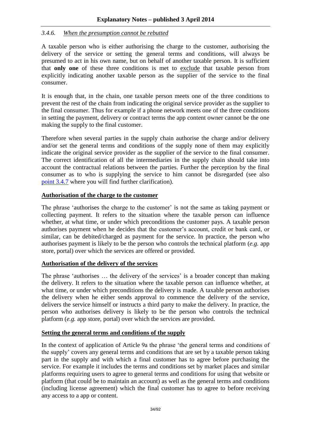#### <span id="page-33-0"></span>*3.4.6. When the presumption cannot be rebutted*

A taxable person who is either authorising the charge to the customer, authorising the delivery of the service or setting the general terms and conditions, will always be presumed to act in his own name, but on behalf of another taxable person. It is sufficient that **only one** of these three conditions is met to exclude that taxable person from explicitly indicating another taxable person as the supplier of the service to the final consumer.

It is enough that, in the chain, one taxable person meets one of the three conditions to prevent the rest of the chain from indicating the original service provider as the supplier to the final consumer. Thus for example if a phone network meets one of the three conditions in setting the payment, delivery or contract terms the app content owner cannot be the one making the supply to the final customer.

Therefore when several parties in the supply chain authorise the charge and/or delivery and/or set the general terms and conditions of the supply none of them may explicitly indicate the original service provider as the supplier of the service to the final consumer. The correct identification of all the intermediaries in the supply chain should take into account the contractual relations between the parties. Further the perception by the final consumer as to who is supplying the service to him cannot be disregarded (see also [point](#page-34-0) 3.4.7 where you will find further clarification).

#### **Authorisation of the charge to the customer**

The phrase 'authorises the charge to the customer' is not the same as taking payment or collecting payment. It refers to the situation where the taxable person can influence whether, at what time, or under which preconditions the customer pays. A taxable person authorises payment when he decides that the customer's account, credit or bank card, or similar, can be debited/charged as payment for the service. In practice, the person who authorises payment is likely to be the person who controls the technical platform (*e.g.* app store, portal) over which the services are offered or provided.

#### **Authorisation of the delivery of the services**

The phrase 'authorises … the delivery of the services' is a broader concept than making the delivery. It refers to the situation where the taxable person can influence whether, at what time, or under which preconditions the delivery is made. A taxable person authorises the delivery when he either sends approval to commence the delivery of the service, delivers the service himself or instructs a third party to make the delivery. In practice, the person who authorises delivery is likely to be the person who controls the technical platform (*e.g.* app store, portal) over which the services are provided.

#### **Setting the general terms and conditions of the supply**

In the context of application of Article 9a the phrase 'the general terms and conditions of the supply' covers any general terms and conditions that are set by a taxable person taking part in the supply and with which a final customer has to agree before purchasing the service. For example it includes the terms and conditions set by market places and similar platforms requiring users to agree to general terms and conditions for using that website or platform (that could be to maintain an account) as well as the general terms and conditions (including license agreement) which the final customer has to agree to before receiving any access to a app or content.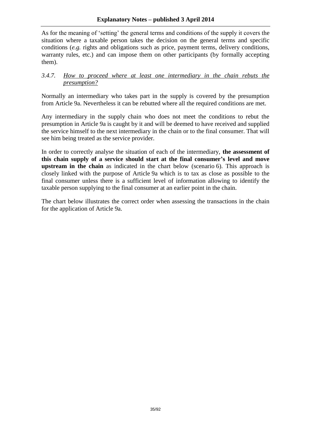As for the meaning of 'setting' the general terms and conditions of the supply it covers the situation where a taxable person takes the decision on the general terms and specific conditions (*e.g.* rights and obligations such as price, payment terms, delivery conditions, warranty rules, etc.) and can impose them on other participants (by formally accepting them).

#### <span id="page-34-0"></span>*3.4.7. How to proceed where at least one intermediary in the chain rebuts the presumption?*

Normally an intermediary who takes part in the supply is covered by the presumption from Article 9a. Nevertheless it can be rebutted where all the required conditions are met.

Any intermediary in the supply chain who does not meet the conditions to rebut the presumption in Article 9a is caught by it and will be deemed to have received and supplied the service himself to the next intermediary in the chain or to the final consumer. That will see him being treated as the service provider.

In order to correctly analyse the situation of each of the intermediary, **the assessment of this chain supply of a service should start at the final consumer's level and move upstream in the chain** as indicated in the chart below (scenario 6). This approach is closely linked with the purpose of Article 9a which is to tax as close as possible to the final consumer unless there is a sufficient level of information allowing to identify the taxable person supplying to the final consumer at an earlier point in the chain.

The chart below illustrates the correct order when assessing the transactions in the chain for the application of Article 9a.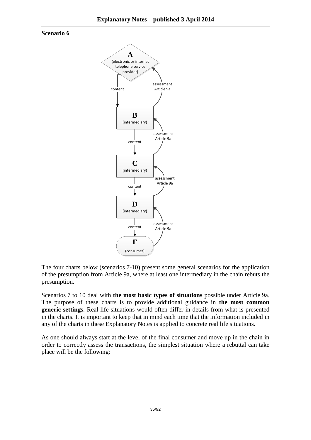#### **Scenario 6**



The four charts below (scenarios 7-10) present some general scenarios for the application of the presumption from Article 9a, where at least one intermediary in the chain rebuts the presumption.

Scenarios 7 to 10 deal with **the most basic types of situations** possible under Article 9a. The purpose of these charts is to provide additional guidance in **the most common generic settings**. Real life situations would often differ in details from what is presented in the charts. It is important to keep that in mind each time that the information included in any of the charts in these Explanatory Notes is applied to concrete real life situations.

As one should always start at the level of the final consumer and move up in the chain in order to correctly assess the transactions, the simplest situation where a rebuttal can take place will be the following: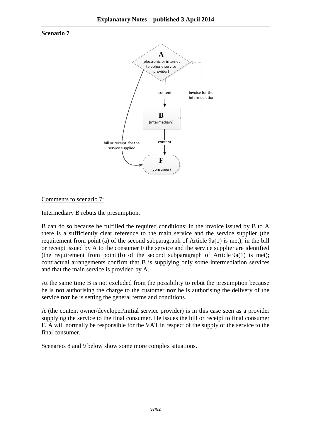### **Scenario 7**



## Comments to scenario 7:

Intermediary B rebuts the presumption.

B can do so because he fulfilled the required conditions: in the invoice issued by B to A there is a sufficiently clear reference to the main service and the service supplier (the requirement from point (a) of the second subparagraph of Article 9a(1) is met); in the bill or receipt issued by A to the consumer F the service and the service supplier are identified (the requirement from point (b) of the second subparagraph of Article  $9a(1)$  is met); contractual arrangements confirm that B is supplying only some intermediation services and that the main service is provided by A.

At the same time B is not excluded from the possibility to rebut the presumption because he is **not** authorising the charge to the customer **nor** he is authorising the delivery of the service **nor** he is setting the general terms and conditions.

A (the content owner/developer/initial service provider) is in this case seen as a provider supplying the service to the final consumer. He issues the bill or receipt to final consumer F. A will normally be responsible for the VAT in respect of the supply of the service to the final consumer.

Scenarios 8 and 9 below show some more complex situations.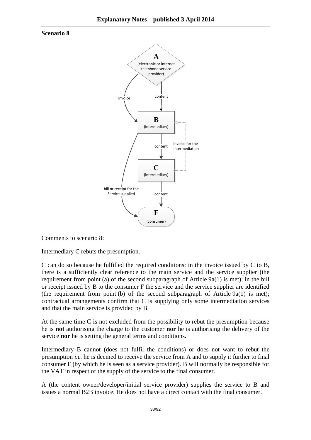## **Scenario 8**



## Comments to scenario 8:

Intermediary C rebuts the presumption.

C can do so because he fulfilled the required conditions: in the invoice issued by C to B, there is a sufficiently clear reference to the main service and the service supplier (the requirement from point (a) of the second subparagraph of Article 9a(1) is met); in the bill or receipt issued by B to the consumer F the service and the service supplier are identified (the requirement from point  $(b)$  of the second subparagraph of Article 9a(1) is met); contractual arrangements confirm that C is supplying only some intermediation services and that the main service is provided by B.

At the same time C is not excluded from the possibility to rebut the presumption because he is **not** authorising the charge to the customer **nor** he is authorising the delivery of the service **nor** he is setting the general terms and conditions.

Intermediary B cannot (does not fulfil the conditions) or does not want to rebut the presumption *i.e.* he is deemed to receive the service from A and to supply it further to final consumer F (by which he is seen as a service provider). B will normally be responsible for the VAT in respect of the supply of the service to the final consumer.

A (the content owner/developer/initial service provider) supplies the service to B and issues a normal B2B invoice. He does not have a direct contact with the final consumer.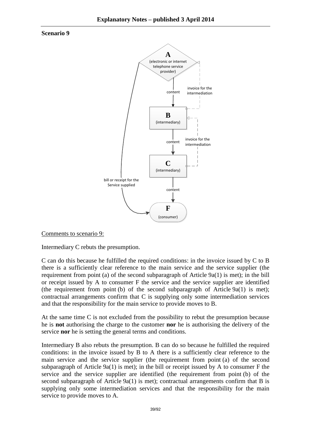### **Scenario 9**



#### Comments to scenario 9:

Intermediary C rebuts the presumption.

C can do this because he fulfilled the required conditions: in the invoice issued by C to B there is a sufficiently clear reference to the main service and the service supplier (the requirement from point (a) of the second subparagraph of Article 9a(1) is met); in the bill or receipt issued by A to consumer F the service and the service supplier are identified (the requirement from point (b) of the second subparagraph of Article  $9a(1)$  is met); contractual arrangements confirm that C is supplying only some intermediation services and that the responsibility for the main service to provide moves to B.

At the same time C is not excluded from the possibility to rebut the presumption because he is **not** authorising the charge to the customer **nor** he is authorising the delivery of the service **nor** he is setting the general terms and conditions.

Intermediary B also rebuts the presumption. B can do so because he fulfilled the required conditions: in the invoice issued by B to A there is a sufficiently clear reference to the main service and the service supplier (the requirement from point (a) of the second subparagraph of Article  $9a(1)$  is met); in the bill or receipt issued by A to consumer F the service and the service supplier are identified (the requirement from point (b) of the second subparagraph of Article 9a(1) is met); contractual arrangements confirm that B is supplying only some intermediation services and that the responsibility for the main service to provide moves to A.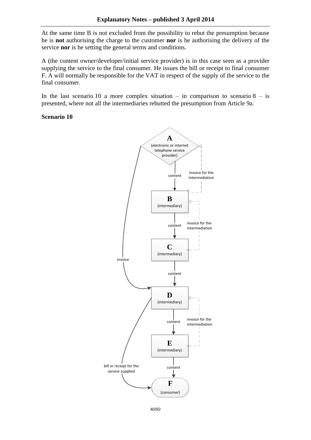At the same time B is not excluded from the possibility to rebut the presumption because he is **not** authorising the charge to the customer **nor** is he authorising the delivery of the service **nor** is he setting the general terms and conditions.

A (the content owner/developer/initial service provider) is in this case seen as a provider supplying the service to the final consumer. He issues the bill or receipt to final consumer F. A will normally be responsible for the VAT in respect of the supply of the service to the final consumer.

In the last scenario 10 a more complex situation – in comparison to scenario  $8 - is$ presented, where not all the intermediaries rebutted the presumption from Article 9a.

**Scenario 10**

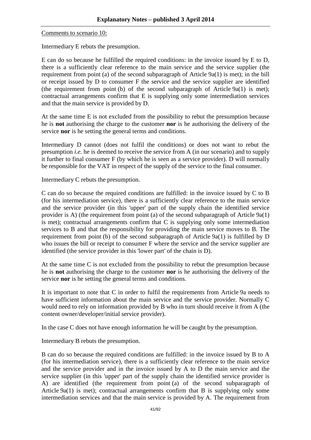### Comments to scenario 10:

Intermediary E rebuts the presumption.

E can do so because he fulfilled the required conditions: in the invoice issued by E to D, there is a sufficiently clear reference to the main service and the service supplier (the requirement from point (a) of the second subparagraph of Article 9a(1) is met); in the bill or receipt issued by D to consumer F the service and the service supplier are identified (the requirement from point (b) of the second subparagraph of Article  $9a(1)$  is met); contractual arrangements confirm that E is supplying only some intermediation services and that the main service is provided by D.

At the same time E is not excluded from the possibility to rebut the presumption because he is **not** authorising the charge to the customer **nor** is he authorising the delivery of the service **nor** is he setting the general terms and conditions.

Intermediary D cannot (does not fulfil the conditions) or does not want to rebut the presumption *i.e.* he is deemed to receive the service from A (in our scenario) and to supply it further to final consumer F (by which he is seen as a service provider). D will normally be responsible for the VAT in respect of the supply of the service to the final consumer.

Intermediary C rebuts the presumption.

C can do so because the required conditions are fulfilled: in the invoice issued by C to B (for his intermediation service), there is a sufficiently clear reference to the main service and the service provider (in this 'upper' part of the supply chain the identified service provider is A) (the requirement from point (a) of the second subparagraph of Article 9a(1) is met); contractual arrangements confirm that C is supplying only some intermediation services to B and that the responsibility for providing the main service moves to B. The requirement from point (b) of the second subparagraph of Article 9a(1) is fulfilled by D who issues the bill or receipt to consumer F where the service and the service supplier are identified (the service provider in this 'lower part' of the chain is D).

At the same time C is not excluded from the possibility to rebut the presumption because he is **not** authorising the charge to the customer **nor** is he authorising the delivery of the service **nor** is he setting the general terms and conditions.

It is important to note that C in order to fulfil the requirements from Article 9a needs to have sufficient information about the main service and the service provider. Normally C would need to rely on information provided by B who in turn should receive it from A (the content owner/developer/initial service provider).

In the case C does not have enough information he will be caught by the presumption.

Intermediary B rebuts the presumption.

B can do so because the required conditions are fulfilled: in the invoice issued by B to A (for his intermediation service), there is a sufficiently clear reference to the main service and the service provider and in the invoice issued by A to D the main service and the service supplier (in this 'upper' part of the supply chain the identified service provider is A) are identified (the requirement from point (a) of the second subparagraph of Article 9a(1) is met); contractual arrangements confirm that B is supplying only some intermediation services and that the main service is provided by A. The requirement from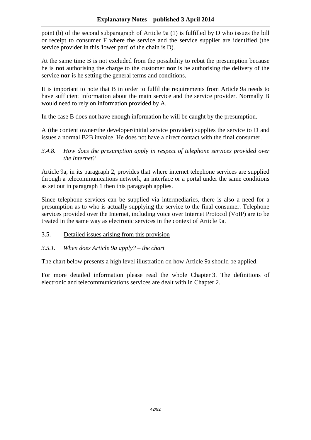point (b) of the second subparagraph of Article 9a (1) is fulfilled by D who issues the bill or receipt to consumer F where the service and the service supplier are identified (the service provider in this 'lower part' of the chain is D).

At the same time B is not excluded from the possibility to rebut the presumption because he is **not** authorising the charge to the customer **nor** is he authorising the delivery of the service **nor** is he setting the general terms and conditions.

It is important to note that B in order to fulfil the requirements from Article 9a needs to have sufficient information about the main service and the service provider. Normally B would need to rely on information provided by A.

In the case B does not have enough information he will be caught by the presumption.

A (the content owner/the developer/initial service provider) supplies the service to D and issues a normal B2B invoice. He does not have a direct contact with the final consumer.

## *3.4.8. How does the presumption apply in respect of telephone services provided over the Internet?*

Article 9a, in its paragraph 2, provides that where internet telephone services are supplied through a telecommunications network, an interface or a portal under the same conditions as set out in paragraph 1 then this paragraph applies.

Since telephone services can be supplied via intermediaries, there is also a need for a presumption as to who is actually supplying the service to the final consumer. Telephone services provided over the Internet, including voice over Internet Protocol (VoIP) are to be treated in the same way as electronic services in the context of Article 9a.

3.5. Detailed issues arising from this provision

## *3.5.1. When does Article 9a apply? – the chart*

The chart below presents a high level illustration on how Article 9a should be applied.

For more detailed information please read the whole Chapter 3. The definitions of electronic and telecommunications services are dealt with in Chapter 2.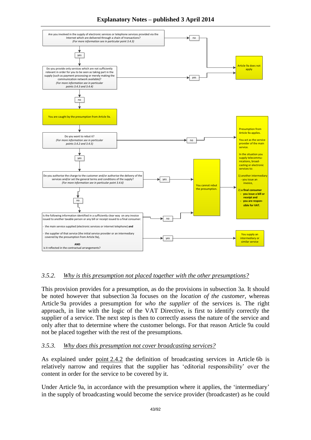

# *3.5.2. Why is this presumption not placed together with the other presumptions?*

This provision provides for a presumption, as do the provisions in subsection 3a. It should be noted however that subsection 3a focuses on the *location of the customer*, whereas Article 9a provides a presumption for *who the supplier* of the services is. The right approach, in line with the logic of the VAT Directive, is first to identify correctly the supplier of a service. The next step is then to correctly assess the nature of the service and only after that to determine where the customer belongs. For that reason Article 9a could not be placed together with the rest of the presumptions.

## *3.5.3. Why does this presumption not cover broadcasting services?*

As explained under [point](#page-18-0) 2.4.2 the definition of broadcasting services in Article 6b is relatively narrow and requires that the supplier has 'editorial responsibility' over the content in order for the service to be covered by it.

Under Article 9a, in accordance with the presumption where it applies, the 'intermediary' in the supply of broadcasting would become the service provider (broadcaster) as he could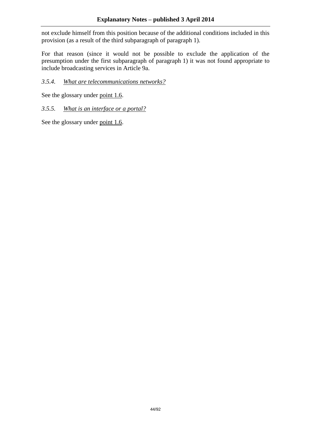not exclude himself from this position because of the additional conditions included in this provision (as a result of the third subparagraph of paragraph 1).

For that reason (since it would not be possible to exclude the application of the presumption under the first subparagraph of paragraph 1) it was not found appropriate to include broadcasting services in Article 9a.

## *3.5.4. What are telecommunications networks?*

See the glossary under [point](#page-11-0) 1.6.

## *3.5.5. What is an interface or a portal?*

See the glossary under [point](#page-11-0) 1.6.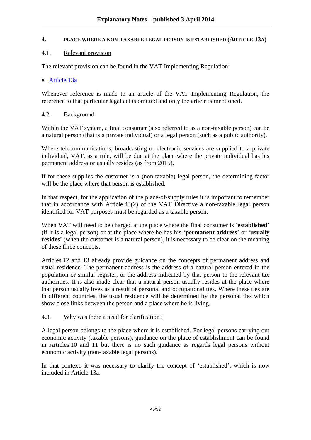#### **4. PLACE WHERE A NON-TAXABLE LEGAL PERSON IS ESTABLISHED (ARTICLE 13A)**

### 4.1. Relevant provision

The relevant provision can be found in the VAT Implementing Regulation:

## [Article](#page-87-0) 13a

Whenever reference is made to an article of the VAT Implementing Regulation, the reference to that particular legal act is omitted and only the article is mentioned.

### 4.2. Background

Within the VAT system, a final consumer (also referred to as a non-taxable person) can be a natural person (that is a private individual) or a legal person (such as a public authority).

Where telecommunications, broadcasting or electronic services are supplied to a private individual, VAT, as a rule, will be due at the place where the private individual has his permanent address or usually resides (as from 2015).

If for these supplies the customer is a (non-taxable) legal person, the determining factor will be the place where that person is established.

In that respect, for the application of the place-of-supply rules it is important to remember that in accordance with Article 43(2) of the VAT Directive a non-taxable legal person identified for VAT purposes must be regarded as a taxable person.

When VAT will need to be charged at the place where the final consumer is '**established**' (if it is a legal person) or at the place where he has his '**permanent address**' or '**usually resides**' (when the customer is a natural person), it is necessary to be clear on the meaning of these three concepts.

Articles 12 and 13 already provide guidance on the concepts of permanent address and usual residence. The permanent address is the address of a natural person entered in the population or similar register, or the address indicated by that person to the relevant tax authorities. It is also made clear that a natural person usually resides at the place where that person usually lives as a result of personal and occupational ties. Where these ties are in different countries, the usual residence will be determined by the personal ties which show close links between the person and a place where he is living.

## 4.3. Why was there a need for clarification?

A legal person belongs to the place where it is established. For legal persons carrying out economic activity (taxable persons), guidance on the place of establishment can be found in Articles 10 and 11 but there is no such guidance as regards legal persons without economic activity (non-taxable legal persons).

In that context, it was necessary to clarify the concept of 'established', which is now included in Article 13a.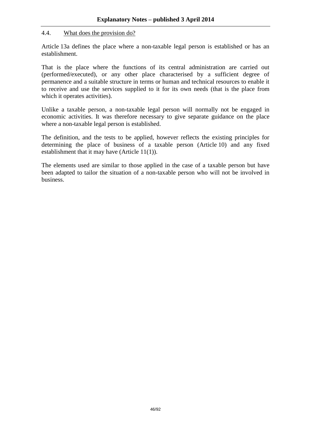### 4.4. What does the provision do?

Article 13a defines the place where a non-taxable legal person is established or has an establishment.

That is the place where the functions of its central administration are carried out (performed/executed), or any other place characterised by a sufficient degree of permanence and a suitable structure in terms or human and technical resources to enable it to receive and use the services supplied to it for its own needs (that is the place from which it operates activities).

Unlike a taxable person, a non-taxable legal person will normally not be engaged in economic activities. It was therefore necessary to give separate guidance on the place where a non-taxable legal person is established.

The definition, and the tests to be applied, however reflects the existing principles for determining the place of business of a taxable person (Article 10) and any fixed establishment that it may have (Article 11(1)).

The elements used are similar to those applied in the case of a taxable person but have been adapted to tailor the situation of a non-taxable person who will not be involved in business.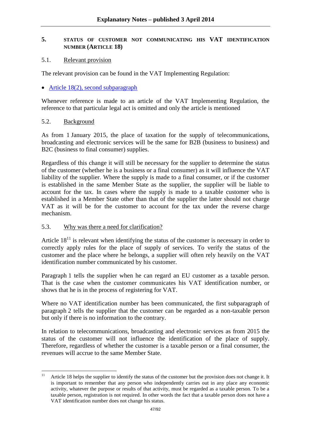#### **5. STATUS OF CUSTOMER NOT COMMUNICATING HIS VAT IDENTIFICATION NUMBER (ARTICLE 18)**

### 5.1. Relevant provision

The relevant provision can be found in the VAT Implementing Regulation:

#### • Article [18\(2\), second subparagraph](#page-88-0)

Whenever reference is made to an article of the VAT Implementing Regulation, the reference to that particular legal act is omitted and only the article is mentioned

### 5.2. Background

As from 1 January 2015, the place of taxation for the supply of telecommunications, broadcasting and electronic services will be the same for B2B (business to business) and B2C (business to final consumer) supplies.

Regardless of this change it will still be necessary for the supplier to determine the status of the customer (whether he is a business or a final consumer) as it will influence the VAT liability of the supplier. Where the supply is made to a final consumer, or if the customer is established in the same Member State as the supplier, the supplier will be liable to account for the tax. In cases where the supply is made to a taxable customer who is established in a Member State other than that of the supplier the latter should not charge VAT as it will be for the customer to account for the tax under the reverse charge mechanism.

## 5.3. Why was there a need for clarification?

Article  $18<sup>11</sup>$  is relevant when identifying the status of the customer is necessary in order to correctly apply rules for the place of supply of services. To verify the status of the customer and the place where he belongs, a supplier will often rely heavily on the VAT identification number communicated by his customer.

Paragraph 1 tells the supplier when he can regard an EU customer as a taxable person. That is the case when the customer communicates his VAT identification number, or shows that he is in the process of registering for VAT.

Where no VAT identification number has been communicated, the first subparagraph of paragraph 2 tells the supplier that the customer can be regarded as a non-taxable person but only if there is no information to the contrary.

In relation to telecommunications, broadcasting and electronic services as from 2015 the status of the customer will not influence the identification of the place of supply. Therefore, regardless of whether the customer is a taxable person or a final consumer, the revenues will accrue to the same Member State.

 $\overline{11}$ Article 18 helps the supplier to identify the status of the customer but the provision does not change it. It is important to remember that any person who independently carries out in any place any economic activity, whatever the purpose or results of that activity, must be regarded as a taxable person. To be a taxable person, registration is not required. In other words the fact that a taxable person does not have a VAT identification number does not change his status.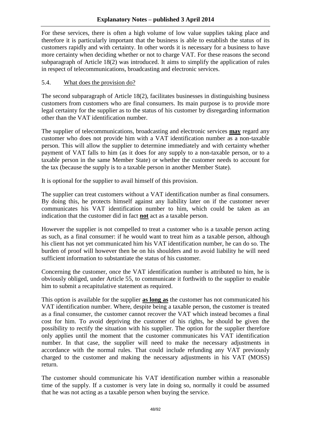For these services, there is often a high volume of low value supplies taking place and therefore it is particularly important that the business is able to establish the status of its customers rapidly and with certainty. In other words it is necessary for a business to have more certainty when deciding whether or not to charge VAT. For these reasons the second subparagraph of Article 18(2) was introduced. It aims to simplify the application of rules in respect of telecommunications, broadcasting and electronic services.

# 5.4. What does the provision do?

The second subparagraph of Article 18(2), facilitates businesses in distinguishing business customers from customers who are final consumers. Its main purpose is to provide more legal certainty for the supplier as to the status of his customer by disregarding information other than the VAT identification number.

The supplier of telecommunications, broadcasting and electronic services **may** regard any customer who does not provide him with a VAT identification number as a non-taxable person. This will allow the supplier to determine immediately and with certainty whether payment of VAT falls to him (as it does for any supply to a non-taxable person, or to a taxable person in the same Member State) or whether the customer needs to account for the tax (because the supply is to a taxable person in another Member State).

It is optional for the supplier to avail himself of this provision.

The supplier can treat customers without a VAT identification number as final consumers. By doing this, he protects himself against any liability later on if the customer never communicates his VAT identification number to him, which could be taken as an indication that the customer did in fact **not** act as a taxable person.

However the supplier is not compelled to treat a customer who is a taxable person acting as such, as a final consumer: if he would want to treat him as a taxable person, although his client has not yet communicated him his VAT identification number, he can do so. The burden of proof will however then be on his shoulders and to avoid liability he will need sufficient information to substantiate the status of his customer.

Concerning the customer, once the VAT identification number is attributed to him, he is obviously obliged, under Article 55, to communicate it forthwith to the supplier to enable him to submit a recapitulative statement as required.

This option is available for the supplier **as long as** the customer has not communicated his VAT identification number. Where, despite being a taxable person, the customer is treated as a final consumer, the customer cannot recover the VAT which instead becomes a final cost for him. To avoid depriving the customer of his rights, he should be given the possibility to rectify the situation with his supplier. The option for the supplier therefore only applies until the moment that the customer communicates his VAT identification number. In that case, the supplier will need to make the necessary adjustments in accordance with the normal rules. That could include refunding any VAT previously charged to the customer and making the necessary adjustments in his VAT (MOSS) return.

The customer should communicate his VAT identification number within a reasonable time of the supply. If a customer is very late in doing so, normally it could be assumed that he was not acting as a taxable person when buying the service.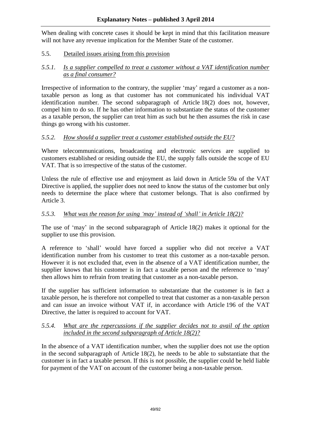When dealing with concrete cases it should be kept in mind that this facilitation measure will not have any revenue implication for the Member State of the customer.

## 5.5. Detailed issues arising from this provision

## *5.5.1. Is a supplier compelled to treat a customer without a VAT identification number as a final consumer?*

Irrespective of information to the contrary, the supplier 'may' regard a customer as a nontaxable person as long as that customer has not communicated his individual VAT identification number. The second subparagraph of Article 18(2) does not, however, compel him to do so. If he has other information to substantiate the status of the customer as a taxable person, the supplier can treat him as such but he then assumes the risk in case things go wrong with his customer.

# *5.5.2. How should a supplier treat a customer established outside the EU?*

Where telecommunications, broadcasting and electronic services are supplied to customers established or residing outside the EU, the supply falls outside the scope of EU VAT. That is so irrespective of the status of the customer.

Unless the rule of effective use and enjoyment as laid down in Article 59a of the VAT Directive is applied, the supplier does not need to know the status of the customer but only needs to determine the place where that customer belongs. That is also confirmed by Article 3.

# *5.5.3. What was the reason for using 'may' instead of 'shall' in Article 18(2)?*

The use of 'may' in the second subparagraph of Article 18(2) makes it optional for the supplier to use this provision.

A reference to 'shall' would have forced a supplier who did not receive a VAT identification number from his customer to treat this customer as a non-taxable person. However it is not excluded that, even in the absence of a VAT identification number, the supplier knows that his customer is in fact a taxable person and the reference to 'may' then allows him to refrain from treating that customer as a non-taxable person.

If the supplier has sufficient information to substantiate that the customer is in fact a taxable person, he is therefore not compelled to treat that customer as a non-taxable person and can issue an invoice without VAT if, in accordance with Article 196 of the VAT Directive, the latter is required to account for VAT.

### *5.5.4. What are the repercussions if the supplier decides not to avail of the option included in the second subparagraph of Article 18(2)?*

In the absence of a VAT identification number, when the supplier does not use the option in the second subparagraph of Article 18(2), he needs to be able to substantiate that the customer is in fact a taxable person. If this is not possible, the supplier could be held liable for payment of the VAT on account of the customer being a non-taxable person.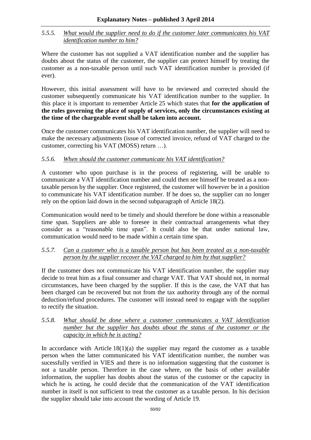## *5.5.5. What would the supplier need to do if the customer later communicates his VAT identification number to him?*

Where the customer has not supplied a VAT identification number and the supplier has doubts about the status of the customer, the supplier can protect himself by treating the customer as a non-taxable person until such VAT identification number is provided (if ever).

However, this initial assessment will have to be reviewed and corrected should the customer subsequently communicate his VAT identification number to the supplier. In this place it is important to remember Article 25 which states that **for the application of the rules governing the place of supply of services, only the circumstances existing at the time of the chargeable event shall be taken into account.**

Once the customer communicates his VAT identification number, the supplier will need to make the necessary adjustments (issue of corrected invoice, refund of VAT charged to the customer, correcting his VAT (MOSS) return …).

# *5.5.6. When should the customer communicate his VAT identification?*

A customer who upon purchase is in the process of registering, will be unable to communicate a VAT identification number and could then see himself be treated as a nontaxable person by the supplier. Once registered, the customer will however be in a position to communicate his VAT identification number. If he does so, the supplier can no longer rely on the option laid down in the second subparagraph of Article 18(2).

Communication would need to be timely and should therefore be done within a reasonable time span. Suppliers are able to foresee in their contractual arrangements what they consider as a "reasonable time span". It could also be that under national law, communication would need to be made within a certain time span.

# *5.5.7. Can a customer who is a taxable person but has been treated as a non-taxable person by the supplier recover the VAT charged to him by that supplier?*

If the customer does not communicate his VAT identification number, the supplier may decide to treat him as a final consumer and charge VAT. That VAT should not, in normal circumstances, have been charged by the supplier. If this is the case, the VAT that has been charged can be recovered but not from the tax authority through any of the normal deduction/refund procedures. The customer will instead need to engage with the supplier to rectify the situation.

#### *5.5.8. What should be done where a customer communicates a VAT identification number but the supplier has doubts about the status of the customer or the capacity in which he is acting?*

In accordance with Article  $18(1)(a)$  the supplier may regard the customer as a taxable person when the latter communicated his VAT identification number, the number was sucessfully verified in VIES and there is no information suggesting that the customer is not a taxable person. Therefore in the case where, on the basis of other available information, the supplier has doubts about the status of the customer or the capacity in which he is acting, he could decide that the communication of the VAT identification number in itself is not sufficient to treat the customer as a taxable person. In his decision the supplier should take into account the wording of Article 19.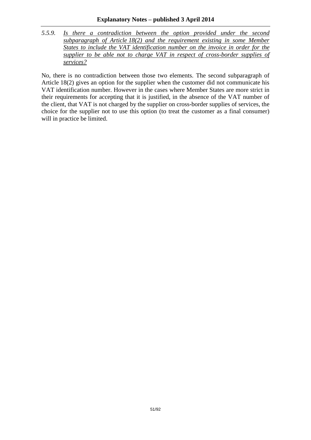*5.5.9. Is there a contradiction between the option provided under the second subparagraph of Article 18(2) and the requirement existing in some Member States to include the VAT identification number on the invoice in order for the supplier to be able not to charge VAT in respect of cross-border supplies of services?*

No, there is no contradiction between those two elements. The second subparagraph of Article 18(2) gives an option for the supplier when the customer did not communicate his VAT identification number. However in the cases where Member States are more strict in their requirements for accepting that it is justified, in the absence of the VAT number of the client, that VAT is not charged by the supplier on cross-border supplies of services, the choice for the supplier not to use this option (to treat the customer as a final consumer) will in practice be limited.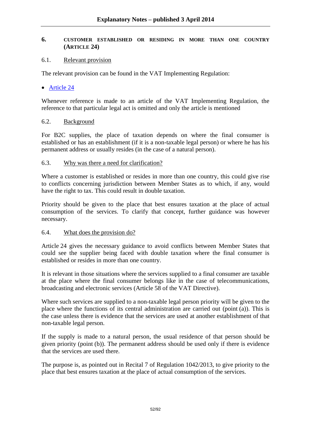#### **6. CUSTOMER ESTABLISHED OR RESIDING IN MORE THAN ONE COUNTRY (ARTICLE 24)**

### 6.1. Relevant provision

The relevant provision can be found in the VAT Implementing Regulation:

#### • [Article](#page-88-1) 24

Whenever reference is made to an article of the VAT Implementing Regulation, the reference to that particular legal act is omitted and only the article is mentioned

### 6.2. Background

For B2C supplies, the place of taxation depends on where the final consumer is established or has an establishment (if it is a non-taxable legal person) or where he has his permanent address or usually resides (in the case of a natural person).

#### 6.3. Why was there a need for clarification?

Where a customer is established or resides in more than one country, this could give rise to conflicts concerning jurisdiction between Member States as to which, if any, would have the right to tax. This could result in double taxation.

Priority should be given to the place that best ensures taxation at the place of actual consumption of the services. To clarify that concept, further guidance was however necessary.

## <span id="page-51-0"></span>6.4. What does the provision do?

Article 24 gives the necessary guidance to avoid conflicts between Member States that could see the supplier being faced with double taxation where the final consumer is established or resides in more than one country.

It is relevant in those situations where the services supplied to a final consumer are taxable at the place where the final consumer belongs like in the case of telecommunications, broadcasting and electronic services (Article 58 of the VAT Directive).

Where such services are supplied to a non-taxable legal person priority will be given to the place where the functions of its central administration are carried out (point (a)). This is the case unless there is evidence that the services are used at another establishment of that non-taxable legal person.

If the supply is made to a natural person, the usual residence of that person should be given priority (point (b)). The permanent address should be used only if there is evidence that the services are used there.

The purpose is, as pointed out in Recital 7 of Regulation 1042/2013, to give priority to the place that best ensures taxation at the place of actual consumption of the services.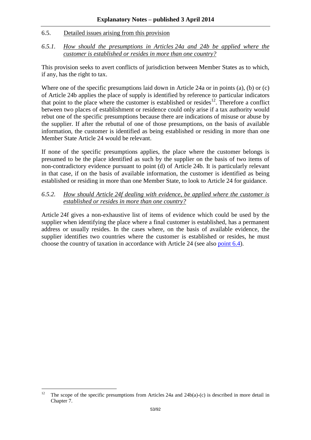## 6.5. Detailed issues arising from this provision

*6.5.1. How should the presumptions in Articles 24a and 24b be applied where the customer is established or resides in more than one country?*

This provision seeks to avert conflicts of jurisdiction between Member States as to which, if any, has the right to tax.

Where one of the specific presumptions laid down in Article 24a or in points (a), (b) or (c) of Article 24b applies the place of supply is identified by reference to particular indicators that point to the place where the customer is established or resides $^{12}$ . Therefore a conflict between two places of establishment or residence could only arise if a tax authority would rebut one of the specific presumptions because there are indications of misuse or abuse by the supplier. If after the rebuttal of one of those presumptions, on the basis of available information, the customer is identified as being established or residing in more than one Member State Article 24 would be relevant.

If none of the specific presumptions applies, the place where the customer belongs is presumed to be the place identified as such by the supplier on the basis of two items of non-contradictory evidence pursuant to point (d) of Article 24b. It is particularly relevant in that case, if on the basis of available information, the customer is identified as being established or residing in more than one Member State, to look to Article 24 for guidance.

## *6.5.2. How should Article 24f dealing with evidence, be applied where the customer is established or resides in more than one country?*

Article 24f gives a non-exhaustive list of items of evidence which could be used by the supplier when identifying the place where a final customer is established, has a permanent address or usually resides. In the cases where, on the basis of available evidence, the supplier identifies two countries where the customer is established or resides, he must choose the country of taxation in accordance with Article 24 (see also [point](#page-51-0) 6.4).

 $12<sup>12</sup>$ The scope of the specific presumptions from Articles 24a and  $24b(a)$ -(c) is described in more detail in Chapter 7.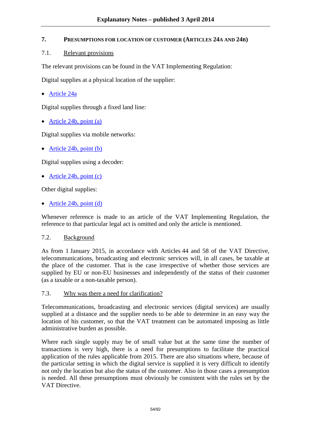### <span id="page-53-0"></span>**7. PRESUMPTIONS FOR LOCATION OF CUSTOMER (ARTICLES 24A AND 24B)**

## 7.1. Relevant provisions

The relevant provisions can be found in the VAT Implementing Regulation:

Digital supplies at a physical location of the supplier:

[Article](#page-88-2) 24a

Digital supplies through a fixed land line:

• Article [24b, point](#page-89-0) (a)

Digital supplies via mobile networks:

• Article [24b, point](#page-89-0) (b)

Digital supplies using a decoder:

• Article [24b, point](#page-89-0) (c)

Other digital supplies:

• Article [24b, point](#page-89-0) (d)

Whenever reference is made to an article of the VAT Implementing Regulation, the reference to that particular legal act is omitted and only the article is mentioned.

## 7.2. Background

As from 1 January 2015, in accordance with Articles 44 and 58 of the VAT Directive, telecommunications, broadcasting and electronic services will, in all cases, be taxable at the place of the customer. That is the case irrespective of whether those services are supplied by EU or non-EU businesses and independently of the status of their customer (as a taxable or a non-taxable person).

7.3. Why was there a need for clarification?

Telecommunications, broadcasting and electronic services (digital services) are usually supplied at a distance and the supplier needs to be able to determine in an easy way the location of his customer, so that the VAT treatment can be automated imposing as little administrative burden as possible.

Where each single supply may be of small value but at the same time the number of transactions is very high, there is a need for presumptions to facilitate the practical application of the rules applicable from 2015. There are also situations where, because of the particular setting in which the digital service is supplied it is very difficult to identify not only the location but also the status of the customer. Also in those cases a presumption is needed. All these presumptions must obviously be consistent with the rules set by the VAT Directive.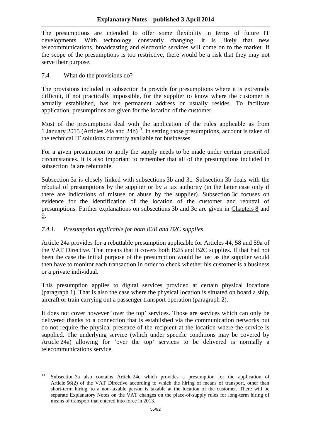The presumptions are intended to offer some flexibility in terms of future IT developments. With technology constantly changing, it is likely that new telecommunications, broadcasting and electronic services will come on to the market. If the scope of the presumptions is too restrictive, there would be a risk that they may not serve their purpose.

## 7.4. What do the provisions do?

The provisions included in subsection 3a provide for presumptions where it is extremely difficult, if not practically impossible, for the supplier to know where the customer is actually established, has his permanent address or usually resides. To facilitate application, presumptions are given for the location of the customer.

Most of the presumptions deal with the application of the rules applicable as from 1 January 2015 (Articles 24a and 24b)<sup>13</sup>. In setting those presumptions, account is taken of the technical IT solutions currently available for businesses.

For a given presumption to apply the supply needs to be made under certain prescribed circumstances. It is also important to remember that all of the presumptions included in subsection 3a are rebuttable.

Subsection 3a is closely linked with subsections 3b and 3c. Subsection 3b deals with the rebuttal of presumptions by the supplier or by a tax authority (in the latter case only if there are indications of misuse or abuse by the supplier). Subsection 3c focuses on evidence for the identification of the location of the customer and rebuttal of presumptions. Further explanations on subsections 3b and 3c are given in [Chapters](#page-63-0) 8 and [9.](#page-67-0)

# *7.4.1. Presumption applicable for both B2B and B2C supplies*

Article 24a provides for a rebuttable presumption applicable for Articles 44, 58 and 59a of the VAT Directive. That means that it covers both B2B and B2C supplies. If that had not been the case the initial purpose of the presumption would be lost as the supplier would then have to monitor each transaction in order to check whether his customer is a business or a private individual.

This presumption applies to digital services provided at certain physical locations (paragraph 1). That is also the case where the physical location is situated on board a ship, aircraft or train carrying out a passenger transport operation (paragraph 2).

It does not cover however 'over the top' services. Those are services which can only be delivered thanks to a connection that is established via the communication networks but do not require the physical presence of the recipient at the location where the service is supplied. The underlying service (which under specific conditions may be covered by Article 24a) allowing for 'over the top' services to be delivered is normally a telecommunications service.

 $13<sup>°</sup>$ <sup>13</sup> Subsection 3a also contains Article 24c which provides a presumption for the application of Article 56(2) of the VAT Directive according to which the hiring of means of transport, other than short-term hiring, to a non-taxable person is taxable at the location of the customer. There will be separate Explanatory Notes on the VAT changes on the place-of-supply rules for long-term hiring of means of transport that entered into force in 2013.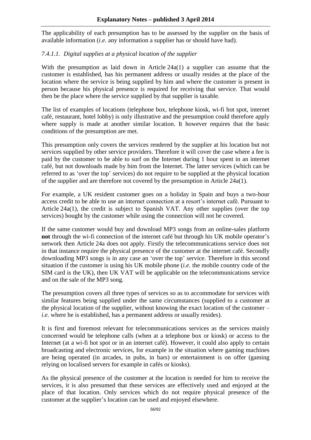The applicability of each presumption has to be assessed by the supplier on the basis of available information (*i.e.* any information a supplier has or should have had).

## *7.4.1.1. Digital supplies at a physical location of the supplier*

With the presumption as laid down in Article 24a(1) a supplier can assume that the customer is established, has his permanent address or usually resides at the place of the location where the service is being supplied by him and where the customer is present in person because his physical presence is required for receiving that service. That would then be the place where the service supplied by that supplier is taxable.

The list of examples of locations (telephone box, telephone kiosk, wi-fi hot spot, internet café, restaurant, hotel lobby) is only illustrative and the presumption could therefore apply where supply is made at another similar location. It however requires that the basic conditions of the presumption are met.

This presumption only covers the services rendered by the supplier at his location but not services supplied by other service providers. Therefore it will cover the case where a fee is paid by the customer to be able to surf on the Internet during 1 hour spent in an internet café, but not downloads made by him from the Internet. The latter services (which can be referred to as 'over the top' services) do not require to be supplied at the physical location of the supplier and are therefore not covered by the presumption in Article 24a(1).

For example, a UK resident customer goes on a holiday in Spain and buys a two-hour access credit to be able to use an internet connection at a resort's internet café. Pursuant to Article 24a(1), the credit is subject to Spanish VAT. Any other supplies (over the top services) bought by the customer while using the connection will not be covered.

If the same customer would buy and download MP3 songs from an online-sales platform **not** through the wi-fi connection of the internet café but through his UK mobile operator's network then Article 24a does not apply. Firstly the telecommunications service does not in that instance require the physical presence of the customer at the internet café. Secondly downloading MP3 songs is in any case an 'over the top' service. Therefore in this second situation if the customer is using his UK mobile phone (*i.e.* the mobile country code of the SIM card is the UK), then UK VAT will be applicable on the telecommunications service and on the sale of the MP3 song.

The presumption covers all three types of services so as to accommodate for services with similar features being supplied under the same circumstances (supplied to a customer at the physical location of the supplier, without knowing the exact location of the customer – *i.e.* where he is established, has a permanent address or usually resides).

It is first and foremost relevant for telecommunications services as the services mainly concerned would be telephone calls (when at a telephone box or kiosk) or access to the Internet (at a wi-fi hot spot or in an internet café). However, it could also apply to certain broadcasting and electronic services, for example in the situation where gaming machines are being operated (in arcades, in pubs, in bars) or entertainment is on offer (gaming relying on localised servers for example in cafés or kiosks).

As the physical presence of the customer at the location is needed for him to receive the services, it is also presumed that these services are effectively used and enjoyed at the place of that location. Only services which do not require physical presence of the customer at the supplier's location can be used and enjoyed elsewhere.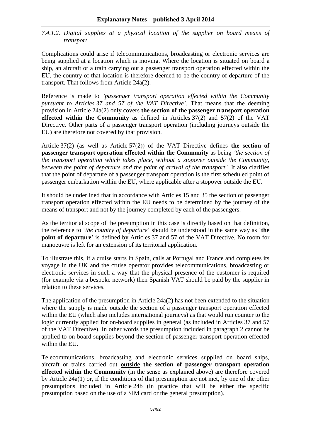### *7.4.1.2. Digital supplies at a physical location of the supplier on board means of transport*

Complications could arise if telecommunications, broadcasting or electronic services are being supplied at a location which is moving. Where the location is situated on board a ship, an aircraft or a train carrying out a passenger transport operation effected within the EU, the country of that location is therefore deemed to be the country of departure of the transport. That follows from Article 24a(2).

Reference is made to *'passenger transport operation effected within the Community pursuant to Articles 37 and 57 of the VAT Directive'*. That means that the deeming provision in Article 24a(2) only covers **the section of the passenger transport operation effected within the Community** as defined in Articles 37(2) and 57(2) of the VAT Directive. Other parts of a passenger transport operation (including journeys outside the EU) are therefore not covered by that provision.

Article 37(2) (as well as Article 57(2)) of the VAT Directive defines **the section of passenger transport operation effected within the Community** as being *'the section of the transport operation which takes place, without a stopover outside the Community, between the point of departure and the point of arrival of the transport'*. It also clarifies that the point of departure of a passenger transport operation is the first scheduled point of passenger embarkation within the EU, where applicable after a stopover outside the EU.

It should be underlined that in accordance with Articles 15 and 35 the section of passenger transport operation effected within the EU needs to be determined by the journey of the means of transport and not by the journey completed by each of the passengers.

As the territorial scope of the presumption in this case is directly based on that definition, the reference to '*the country of departure*' should be understood in the same way as '**the point of departure**' is defined by Articles 37 and 57 of the VAT Directive. No room for manoeuvre is left for an extension of its territorial application.

To illustrate this, if a cruise starts in Spain, calls at Portugal and France and completes its voyage in the UK and the cruise operator provides telecommunications, broadcasting or electronic services in such a way that the physical presence of the customer is required (for example via a bespoke network) then Spanish VAT should be paid by the supplier in relation to these services.

The application of the presumption in Article 24a(2) has not been extended to the situation where the supply is made outside the section of a passenger transport operation effected within the EU (which also includes international journeys) as that would run counter to the logic currently applied for on-board supplies in general (as included in Articles 37 and 57 of the VAT Directive). In other words the presumption included in paragraph 2 cannot be applied to on-board supplies beyond the section of passenger transport operation effected within the EU.

Telecommunications, broadcasting and electronic services supplied on board ships, aircraft or trains carried out **outside the section of passenger transport operation effected within the Community** (in the sense as explained above) are therefore covered by Article 24a(1) or, if the conditions of that presumption are not met, by one of the other presumptions included in Article 24b (in practice that will be either the specific presumption based on the use of a SIM card or the general presumption).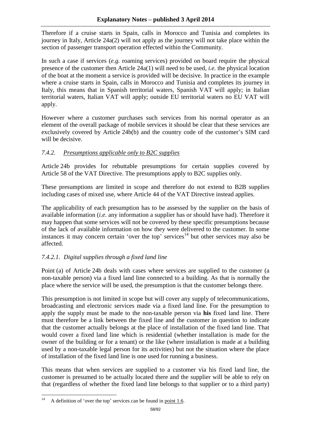Therefore if a cruise starts in Spain, calls in Morocco and Tunisia and completes its journey in Italy, Article 24a(2) will not apply as the journey will not take place within the section of passenger transport operation effected within the Community.

In such a case if services (*e.g.* roaming services) provided on board require the physical presence of the customer then Article 24a(1) will need to be used, *i.e.* the physical location of the boat at the moment a service is provided will be decisive. In practice in the example where a cruise starts in Spain, calls in Morocco and Tunisia and completes its journey in Italy, this means that in Spanish territorial waters, Spanish VAT will apply; in Italian territorial waters, Italian VAT will apply; outside EU territorial waters no EU VAT will apply.

However where a customer purchases such services from his normal operator as an element of the overall package of mobile services it should be clear that these services are exclusively covered by Article 24b(b) and the country code of the customer's SIM card will be decisive.

# *7.4.2. Presumptions applicable only to B2C supplies*

Article 24b provides for rebuttable presumptions for certain supplies covered by Article 58 of the VAT Directive. The presumptions apply to B2C supplies only.

These presumptions are limited in scope and therefore do not extend to B2B supplies including cases of mixed use, where Article 44 of the VAT Directive instead applies.

The applicability of each presumption has to be assessed by the supplier on the basis of available information (*i.e.* any information a supplier has or should have had). Therefore it may happen that some services will not be covered by these specific presumptions because of the lack of available information on how they were delivered to the customer. In some instances it may concern certain 'over the top' services<sup>14</sup> but other services may also be affected.

# *7.4.2.1. Digital supplies through a fixed land line*

Point (a) of Article 24b deals with cases where services are supplied to the customer (a non-taxable person) via a fixed land line connected to a building. As that is normally the place where the service will be used, the presumption is that the customer belongs there.

This presumption is not limited in scope but will cover any supply of telecommunications, broadcasting and electronic services made via a fixed land line. For the presumption to apply the supply must be made to the non-taxable person via **his** fixed land line. There must therefore be a link between the fixed line and the customer in question to indicate that the customer actually belongs at the place of installation of the fixed land line. That would cover a fixed land line which is residential (whether installation is made for the owner of the building or for a tenant) or the like (where installation is made at a building used by a non-taxable legal person for its activities) but not the situation where the place of installation of the fixed land line is one used for running a business.

This means that when services are supplied to a customer via his fixed land line, the customer is presumed to be actually located there and the supplier will be able to rely on that (regardless of whether the fixed land line belongs to that supplier or to a third party)

 $14$ A definition of 'over the top' services can be found in [point](#page-11-0) 1.6.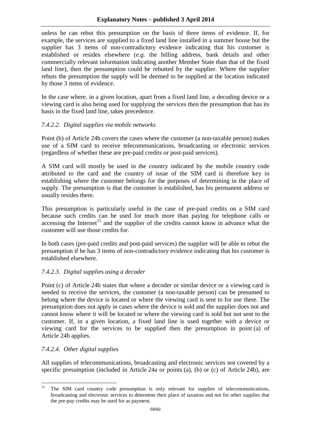unless he can rebut this presumption on the basis of three items of evidence. If, for example, the services are supplied to a fixed land line installed in a summer house but the supplier has 3 items of non-contradictory evidence indicating that his customer is established or resides elsewhere (*e.g.* the billing address, bank details and other commercially relevant information indicating another Member State than that of the fixed land line), then the presumption could be rebutted by the supplier. Where the supplier rebuts the presumption the supply will be deemed to be supplied at the location indicated by those 3 items of evidence.

In the case where, in a given location, apart from a fixed land line, a decoding device or a viewing card is also being used for supplying the services then the presumption that has its basis in the fixed land line, takes precedence.

# *7.4.2.2. Digital supplies via mobile networks*

Point (b) of Article 24b covers the cases where the customer (a non-taxable person) makes use of a SIM card to receive telecommunications, broadcasting or electronic services (regardless of whether these are pre-paid credits or post-paid services).

A SIM card will mostly be used in the country indicated by the mobile country code attributed to the card and the country of issue of the SIM card is therefore key in establishing where the customer belongs for the purposes of determining in the place of supply. The presumption is that the customer is established, has his permanent address or usually resides there.

This presumption is particularly useful in the case of pre-paid credits on a SIM card because such credits can be used for much more than paying for telephone calls or accessing the Internet<sup>15</sup> and the supplier of the credits cannot know in advance what the customer will use those credits for.

In both cases (pre-paid credits and post-paid services) the supplier will be able to rebut the presumption if he has 3 items of non-contradictory evidence indicating that his customer is established elsewhere.

# *7.4.2.3. Digital supplies using a decoder*

Point (c) of Article 24b states that where a decoder or similar device or a viewing card is needed to receive the services, the customer (a non-taxable person) can be presumed to belong where the device is located or where the viewing card is sent to for use there. The presumption does not apply in cases where the device is sold and the supplier does not and cannot know where it will be located or where the viewing card is sold but not sent to the customer. If, in a given location, a fixed land line is used together with a device or viewing card for the services to be supplied then the presumption in point (a) of Article 24b applies.

# *7.4.2.4. Other digital supplies*

All supplies of telecommunications, broadcasting and electronic services not covered by a specific presumption (included in Article 24a or points (a), (b) or (c) of Article 24b), are

 $15<sup>15</sup>$ <sup>15</sup> The SIM card country code presumption is only relevant for supplies of telecommunications, broadcasting and electronic services to determine their place of taxation and not for other supplies that the pre-pay credits may be used for as payment.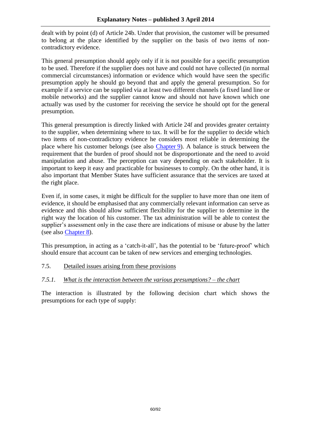dealt with by point (d) of Article 24b. Under that provision, the customer will be presumed to belong at the place identified by the supplier on the basis of two items of noncontradictory evidence.

This general presumption should apply only if it is not possible for a specific presumption to be used. Therefore if the supplier does not have and could not have collected (in normal commercial circumstances) information or evidence which would have seen the specific presumption apply he should go beyond that and apply the general presumption. So for example if a service can be supplied via at least two different channels (a fixed land line or mobile networks) and the supplier cannot know and should not have known which one actually was used by the customer for receiving the service he should opt for the general presumption.

This general presumption is directly linked with Article 24f and provides greater certainty to the supplier, when determining where to tax. It will be for the supplier to decide which two items of non-contradictory evidence he considers most reliable in determining the place where his customer belongs (see also [Chapter](#page-67-0) 9). A balance is struck between the requirement that the burden of proof should not be disproportionate and the need to avoid manipulation and abuse. The perception can vary depending on each stakeholder. It is important to keep it easy and practicable for businesses to comply. On the other hand, it is also important that Member States have sufficient assurance that the services are taxed at the right place.

Even if, in some cases, it might be difficult for the supplier to have more than one item of evidence, it should be emphasised that any commercially relevant information can serve as evidence and this should allow sufficient flexibility for the supplier to determine in the right way the location of his customer. The tax administration will be able to contest the supplier's assessment only in the case there are indications of misuse or abuse by the latter (see also [Chapter](#page-63-0) 8).

This presumption, in acting as a 'catch-it-all', has the potential to be 'future-proof' which should ensure that account can be taken of new services and emerging technologies.

## 7.5. Detailed issues arising from these provisions

## *7.5.1. What is the interaction between the various presumptions? – the chart*

The interaction is illustrated by the following decision chart which shows the presumptions for each type of supply: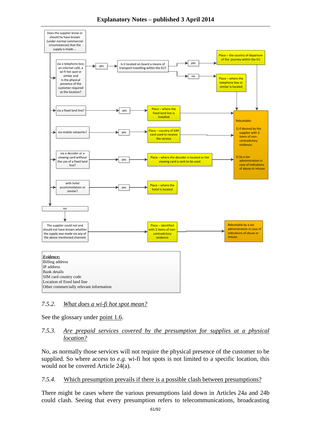

## *7.5.2. What does a wi-fi hot spot mean?*

See the glossary under [point](#page-11-0) 1.6.

#### *7.5.3. Are prepaid services covered by the presumption for supplies at a physical location?*

No, as normally those services will not require the physical presence of the customer to be supplied. So where access to *e.g.* wi-fi hot spots is not limited to a specific location, this would not be covered Article 24(a).

#### *7.5.4.* Which presumption prevails if there is a possible clash between presumptions?

There might be cases where the various presumptions laid down in Articles 24a and 24b could clash. Seeing that every presumption refers to telecommunications, broadcasting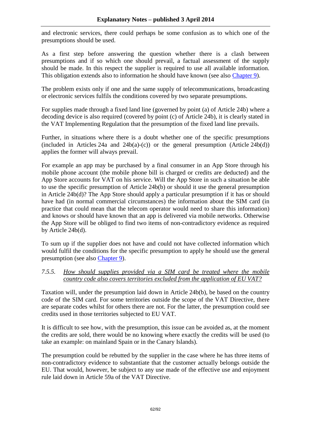and electronic services, there could perhaps be some confusion as to which one of the presumptions should be used.

As a first step before answering the question whether there is a clash between presumptions and if so which one should prevail, a factual assessment of the supply should be made. In this respect the supplier is required to use all available information. This obligation extends also to information he should have known (see also [Chapter](#page-67-0) 9).

The problem exists only if one and the same supply of telecommunications, broadcasting or electronic services fulfils the conditions covered by two separate presumptions.

For supplies made through a fixed land line (governed by point (a) of Article 24b) where a decoding device is also required (covered by point (c) of Article 24b), it is clearly stated in the VAT Implementing Regulation that the presumption of the fixed land line prevails.

Further, in situations where there is a doubt whether one of the specific presumptions (included in Articles 24a and 24b(a)-(c)) or the general presumption (Article 24b(d)) applies the former will always prevail.

For example an app may be purchased by a final consumer in an App Store through his mobile phone account (the mobile phone bill is charged or credits are deducted) and the App Store accounts for VAT on his service. Will the App Store in such a situation be able to use the specific presumption of Article 24b(b) or should it use the general presumption in Article 24b(d)? The App Store should apply a particular presumption if it has or should have had (in normal commercial circumstances) the information about the SIM card (in practice that could mean that the telecom operator would need to share this information) and knows or should have known that an app is delivered via mobile networks. Otherwise the App Store will be obliged to find two items of non-contradictory evidence as required by Article 24b(d).

To sum up if the supplier does not have and could not have collected information which would fulfil the conditions for the specific presumption to apply he should use the general presumption (see also [Chapter](#page-67-0) 9).

## *7.5.5. How should supplies provided via a SIM card be treated where the mobile country code also covers territories excluded from the application of EU VAT?*

Taxation will, under the presumption laid down in Article 24b(b), be based on the country code of the SIM card. For some territories outside the scope of the VAT Directive, there are separate codes whilst for others there are not. For the latter, the presumption could see credits used in those territories subjected to EU VAT.

It is difficult to see how, with the presumption, this issue can be avoided as, at the moment the credits are sold, there would be no knowing where exactly the credits will be used (to take an example: on mainland Spain or in the Canary Islands).

The presumption could be rebutted by the supplier in the case where he has three items of non-contradictory evidence to substantiate that the customer actually belongs outside the EU. That would, however, be subject to any use made of the effective use and enjoyment rule laid down in Article 59a of the VAT Directive.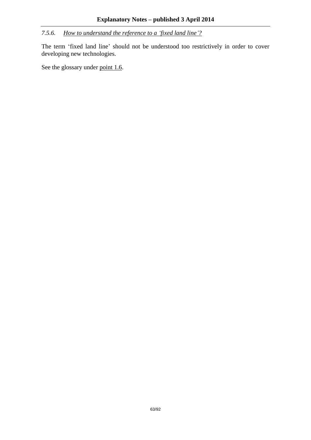*7.5.6. How to understand the reference to a 'fixed land line'?*

The term 'fixed land line' should not be understood too restrictively in order to cover developing new technologies.

See the glossary under [point](#page-11-0) 1.6.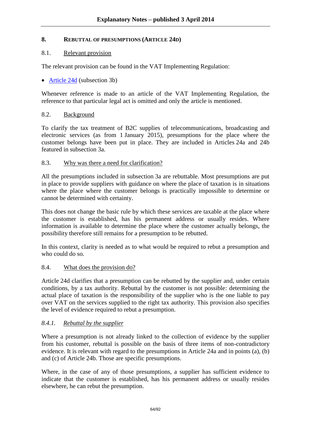### <span id="page-63-0"></span>**8. REBUTTAL OF PRESUMPTIONS (ARTICLE 24D)**

### 8.1. Relevant provision

The relevant provision can be found in the VAT Implementing Regulation:

### • [Article](#page-89-1) 24d (subsection 3b)

Whenever reference is made to an article of the VAT Implementing Regulation, the reference to that particular legal act is omitted and only the article is mentioned.

### 8.2. Background

To clarify the tax treatment of B2C supplies of telecommunications, broadcasting and electronic services (as from 1 January 2015), presumptions for the place where the customer belongs have been put in place. They are included in Articles 24a and 24b featured in subsection 3a.

### 8.3. Why was there a need for clarification?

All the presumptions included in subsection 3a are rebuttable. Most presumptions are put in place to provide suppliers with guidance on where the place of taxation is in situations where the place where the customer belongs is practically impossible to determine or cannot be determined with certainty.

This does not change the basic rule by which these services are taxable at the place where the customer is established, has his permanent address or usually resides. Where information is available to determine the place where the customer actually belongs, the possibility therefore still remains for a presumption to be rebutted.

In this context, clarity is needed as to what would be required to rebut a presumption and who could do so.

## 8.4. What does the provision do?

Article 24d clarifies that a presumption can be rebutted by the supplier and, under certain conditions, by a tax authority. Rebuttal by the customer is not possible: determining the actual place of taxation is the responsibility of the supplier who is the one liable to pay over VAT on the services supplied to the right tax authority. This provision also specifies the level of evidence required to rebut a presumption.

## *8.4.1. Rebuttal by the supplier*

Where a presumption is not already linked to the collection of evidence by the supplier from his customer, rebuttal is possible on the basis of three items of non-contradictory evidence. It is relevant with regard to the presumptions in Article 24a and in points (a), (b) and (c) of Article 24b. Those are specific presumptions.

Where, in the case of any of those presumptions, a supplier has sufficient evidence to indicate that the customer is established, has his permanent address or usually resides elsewhere, he can rebut the presumption.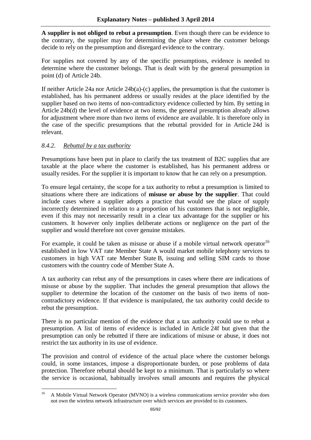**A supplier is not obliged to rebut a presumption**. Even though there can be evidence to the contrary, the supplier may for determining the place where the customer belongs decide to rely on the presumption and disregard evidence to the contrary.

For supplies not covered by any of the specific presumptions, evidence is needed to determine where the customer belongs. That is dealt with by the general presumption in point (d) of Article 24b.

If neither Article 24a nor Article 24b(a)-(c) applies, the presumption is that the customer is established, has his permanent address or usually resides at the place identified by the supplier based on two items of non-contradictory evidence collected by him. By setting in Article 24b(d) the level of evidence at two items, the general presumption already allows for adjustment where more than two items of evidence are available. It is therefore only in the case of the specific presumptions that the rebuttal provided for in Article 24d is relevant.

## *8.4.2. Rebuttal by a tax authority*

Presumptions have been put in place to clarify the tax treatment of B2C supplies that are taxable at the place where the customer is established, has his permanent address or usually resides. For the supplier it is important to know that he can rely on a presumption.

To ensure legal certainty, the scope for a tax authority to rebut a presumption is limited to situations where there are indications of **misuse or abuse by the supplier**. That could include cases where a supplier adopts a practice that would see the place of supply incorrectly determined in relation to a proportion of his customers that is not negligible, even if this may not necessarily result in a clear tax advantage for the supplier or his customers. It however only implies deliberate actions or negligence on the part of the supplier and would therefore not cover genuine mistakes.

For example, it could be taken as misuse or abuse if a mobile virtual network operator<sup>16</sup> established in low VAT rate Member State A would market mobile telephony services to customers in high VAT rate Member State B, issuing and selling SIM cards to those customers with the country code of Member State A.

A tax authority can rebut any of the presumptions in cases where there are indications of misuse or abuse by the supplier. That includes the general presumption that allows the supplier to determine the location of the customer on the basis of two items of noncontradictory evidence. If that evidence is manipulated, the tax authority could decide to rebut the presumption.

There is no particular mention of the evidence that a tax authority could use to rebut a presumption. A list of items of evidence is included in Article 24f but given that the presumption can only be rebutted if there are indications of misuse or abuse, it does not restrict the tax authority in its use of evidence.

The provision and control of evidence of the actual place where the customer belongs could, in some instances, impose a disproportionate burden, or pose problems of data protection. Therefore rebuttal should be kept to a minimum. That is particularly so where the service is occasional, habitually involves small amounts and requires the physical

<sup>16</sup> <sup>16</sup> A Mobile Virtual Network Operator (MVNO) is a wireless communications service provider who does not own the wireless network infrastructure over which services are provided to its customers.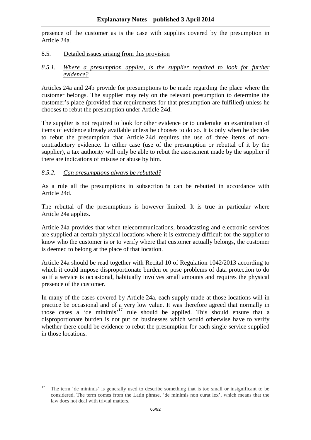presence of the customer as is the case with supplies covered by the presumption in Article 24a.

### 8.5. Detailed issues arising from this provision

#### *8.5.1. Where a presumption applies, is the supplier required to look for further evidence?*

Articles 24a and 24b provide for presumptions to be made regarding the place where the customer belongs. The supplier may rely on the relevant presumption to determine the customer's place (provided that requirements for that presumption are fulfilled) unless he chooses to rebut the presumption under Article 24d.

The supplier is not required to look for other evidence or to undertake an examination of items of evidence already available unless he chooses to do so. It is only when he decides to rebut the presumption that Article 24d requires the use of three items of noncontradictory evidence. In either case (use of the presumption or rebuttal of it by the supplier), a tax authority will only be able to rebut the assessment made by the supplier if there are indications of misuse or abuse by him.

## <span id="page-65-0"></span>*8.5.2. Can presumptions always be rebutted?*

As a rule all the presumptions in subsection 3a can be rebutted in accordance with Article 24d.

The rebuttal of the presumptions is however limited. It is true in particular where Article 24a applies.

Article 24a provides that when telecommunications, broadcasting and electronic services are supplied at certain physical locations where it is extremely difficult for the supplier to know who the customer is or to verify where that customer actually belongs, the customer is deemed to belong at the place of that location.

Article 24a should be read together with Recital 10 of Regulation 1042/2013 according to which it could impose disproportionate burden or pose problems of data protection to do so if a service is occasional, habitually involves small amounts and requires the physical presence of the customer.

In many of the cases covered by Article 24a, each supply made at those locations will in practice be occasional and of a very low value. It was therefore agreed that normally in those cases a 'de minimis' <sup>17</sup> rule should be applied. This should ensure that a disproportionate burden is not put on businesses which would otherwise have to verify whether there could be evidence to rebut the presumption for each single service supplied in those locations.

<sup>17</sup> <sup>17</sup> The term 'de minimis' is generally used to describe something that is too small or insignificant to be considered. The term comes from the Latin phrase, 'de minimis non curat lex', which means that the law does not deal with trivial matters.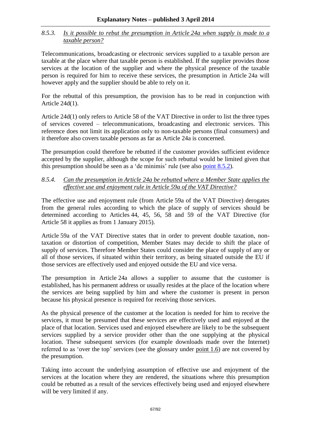## *8.5.3. Is it possible to rebut the presumption in Article 24a when supply is made to a taxable person?*

Telecommunications, broadcasting or electronic services supplied to a taxable person are taxable at the place where that taxable person is established. If the supplier provides those services at the location of the supplier and where the physical presence of the taxable person is required for him to receive these services, the presumption in Article 24a will however apply and the supplier should be able to rely on it.

For the rebuttal of this presumption, the provision has to be read in conjunction with Article 24d(1).

Article 24d(1) only refers to Article 58 of the VAT Directive in order to list the three types of services covered – telecommunications, broadcasting and electronic services. This reference does not limit its application only to non-taxable persons (final consumers) and it therefore also covers taxable persons as far as Article 24a is concerned.

The presumption could therefore be rebutted if the customer provides sufficient evidence accepted by the supplier, although the scope for such rebuttal would be limited given that this presumption should be seen as a 'de minimis' rule (see also [point](#page-65-0) 8.5.2).

## *8.5.4. Can the presumption in Article 24a be rebutted where a Member State applies the effective use and enjoyment rule in Article 59a of the VAT Directive?*

The effective use and enjoyment rule (from Article 59a of the VAT Directive) derogates from the general rules according to which the place of supply of services should be determined according to Articles 44, 45, 56, 58 and 59 of the VAT Directive (for Article 58 it applies as from 1 January 2015).

Article 59a of the VAT Directive states that in order to prevent double taxation, nontaxation or distortion of competition, Member States may decide to shift the place of supply of services. Therefore Member States could consider the place of supply of any or all of those services, if situated within their territory, as being situated outside the EU if those services are effectively used and enjoyed outside the EU and vice versa.

The presumption in Article 24a allows a supplier to assume that the customer is established, has his permanent address or usually resides at the place of the location where the services are being supplied by him and where the customer is present in person because his physical presence is required for receiving those services.

As the physical presence of the customer at the location is needed for him to receive the services, it must be presumed that these services are effectively used and enjoyed at the place of that location. Services used and enjoyed elsewhere are likely to be the subsequent services supplied by a service provider other than the one supplying at the physical location. These subsequent services (for example downloads made over the Internet) referred to as 'over the top' services (see the glossary under [point](#page-11-0) 1.6) are not covered by the presumption.

Taking into account the underlying assumption of effective use and enjoyment of the services at the location where they are rendered, the situations where this presumption could be rebutted as a result of the services effectively being used and enjoyed elsewhere will be very limited if any.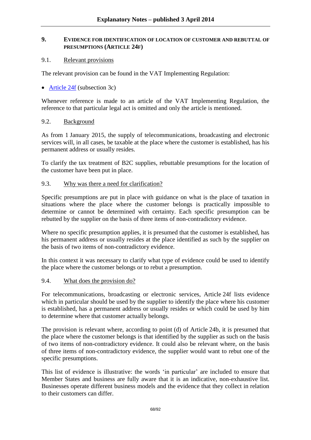#### <span id="page-67-0"></span>**9. EVIDENCE FOR IDENTIFICATION OF LOCATION OF CUSTOMER AND REBUTTAL OF PRESUMPTIONS (ARTICLE 24F)**

### 9.1. Relevant provisions

The relevant provision can be found in the VAT Implementing Regulation:

### • [Article](#page-90-0) 24f (subsection 3c)

Whenever reference is made to an article of the VAT Implementing Regulation, the reference to that particular legal act is omitted and only the article is mentioned.

### 9.2. Background

As from 1 January 2015, the supply of telecommunications, broadcasting and electronic services will, in all cases, be taxable at the place where the customer is established, has his permanent address or usually resides.

To clarify the tax treatment of B2C supplies, rebuttable presumptions for the location of the customer have been put in place.

#### 9.3. Why was there a need for clarification?

Specific presumptions are put in place with guidance on what is the place of taxation in situations where the place where the customer belongs is practically impossible to determine or cannot be determined with certainty. Each specific presumption can be rebutted by the supplier on the basis of three items of non-contradictory evidence.

Where no specific presumption applies, it is presumed that the customer is established, has his permanent address or usually resides at the place identified as such by the supplier on the basis of two items of non-contradictory evidence.

In this context it was necessary to clarify what type of evidence could be used to identify the place where the customer belongs or to rebut a presumption.

#### 9.4. What does the provision do?

For telecommunications, broadcasting or electronic services, Article 24f lists evidence which in particular should be used by the supplier to identify the place where his customer is established, has a permanent address or usually resides or which could be used by him to determine where that customer actually belongs.

The provision is relevant where, according to point (d) of Article 24b, it is presumed that the place where the customer belongs is that identified by the supplier as such on the basis of two items of non-contradictory evidence. It could also be relevant where, on the basis of three items of non-contradictory evidence, the supplier would want to rebut one of the specific presumptions.

This list of evidence is illustrative: the words 'in particular' are included to ensure that Member States and business are fully aware that it is an indicative, non-exhaustive list. Businesses operate different business models and the evidence that they collect in relation to their customers can differ.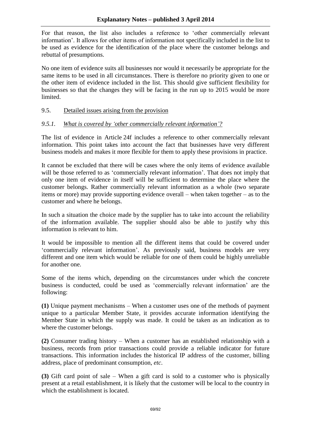For that reason, the list also includes a reference to 'other commercially relevant information'. It allows for other items of information not specifically included in the list to be used as evidence for the identification of the place where the customer belongs and rebuttal of presumptions.

No one item of evidence suits all businesses nor would it necessarily be appropriate for the same items to be used in all circumstances. There is therefore no priority given to one or the other item of evidence included in the list. This should give sufficient flexibility for businesses so that the changes they will be facing in the run up to 2015 would be more limited.

# 9.5. Detailed issues arising from the provision

# *9.5.1. What is covered by 'other commercially relevant information'?*

The list of evidence in Article 24f includes a reference to other commercially relevant information. This point takes into account the fact that businesses have very different business models and makes it more flexible for them to apply these provisions in practice.

It cannot be excluded that there will be cases where the only items of evidence available will be those referred to as 'commercially relevant information'. That does not imply that only one item of evidence in itself will be sufficient to determine the place where the customer belongs. Rather commercially relevant information as a whole (two separate items or more) may provide supporting evidence overall – when taken together – as to the customer and where he belongs.

In such a situation the choice made by the supplier has to take into account the reliability of the information available. The supplier should also be able to justify why this information is relevant to him.

It would be impossible to mention all the different items that could be covered under 'commercially relevant information'. As previously said, business models are very different and one item which would be reliable for one of them could be highly unreliable for another one.

Some of the items which, depending on the circumstances under which the concrete business is conducted, could be used as 'commercially relevant information' are the following:

**(1)** Unique payment mechanisms – When a customer uses one of the methods of payment unique to a particular Member State, it provides accurate information identifying the Member State in which the supply was made. It could be taken as an indication as to where the customer belongs.

**(2)** Consumer trading history – When a customer has an established relationship with a business, records from prior transactions could provide a reliable indicator for future transactions. This information includes the historical IP address of the customer, billing address, place of predominant consumption, *etc*.

**(3)** Gift card point of sale – When a gift card is sold to a customer who is physically present at a retail establishment, it is likely that the customer will be local to the country in which the establishment is located.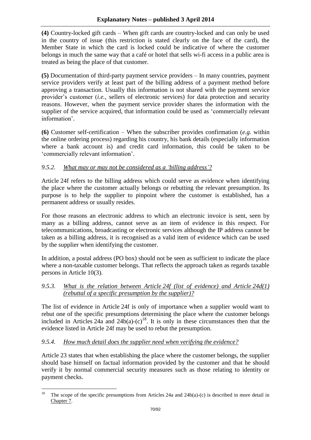**(4)** Country-locked gift cards – When gift cards are country-locked and can only be used in the country of issue (this restriction is stated clearly on the face of the card), the Member State in which the card is locked could be indicative of where the customer belongs in much the same way that a café or hotel that sells wi-fi access in a public area is treated as being the place of that customer.

**(5)** Documentation of third-party payment service providers – In many countries, payment service providers verify at least part of the billing address of a payment method before approving a transaction. Usually this information is not shared with the payment service provider's customer (*i.e.*, sellers of electronic services) for data protection and security reasons. However, when the payment service provider shares the information with the supplier of the service acquired, that information could be used as 'commercially relevant information'.

**(6)** Customer self-certification – When the subscriber provides confirmation (*e.g.* within the online ordering process) regarding his country, his bank details (especially information where a bank account is) and credit card information, this could be taken to be 'commercially relevant information'.

# *9.5.2. What may or may not be considered as a 'billing address'?*

Article 24f refers to the billing address which could serve as evidence when identifying the place where the customer actually belongs or rebutting the relevant presumption. Its purpose is to help the supplier to pinpoint where the customer is established, has a permanent address or usually resides.

For those reasons an electronic address to which an electronic invoice is sent, seen by many as a billing address, cannot serve as an item of evidence in this respect. For telecommunications, broadcasting or electronic services although the IP address cannot be taken as a billing address, it is recognised as a valid item of evidence which can be used by the supplier when identifying the customer.

In addition, a postal address (PO box) should not be seen as sufficient to indicate the place where a non-taxable customer belongs. That reflects the approach taken as regards taxable persons in Article 10(3).

## *9.5.3. What is the relation between Article 24f (list of evidence) and Article 24d(1) (rebuttal of a specific presumption by the supplier)?*

The list of evidence in Article 24f is only of importance when a supplier would want to rebut one of the specific presumptions determining the place where the customer belongs included in Articles 24a and 24 $b(a)-(c)^{18}$ . It is only in these circumstances then that the evidence listed in Article 24f may be used to rebut the presumption.

## *9.5.4. How much detail does the supplier need when verifying the evidence?*

Article 23 states that when establishing the place where the customer belongs, the supplier should base himself on factual information provided by the customer and that he should verify it by normal commercial security measures such as those relating to identity or payment checks.

<sup>18</sup> The scope of the specific presumptions from Articles 24a and  $24b(a)$ -(c) is described in more detail in [Chapter](#page-53-0) 7.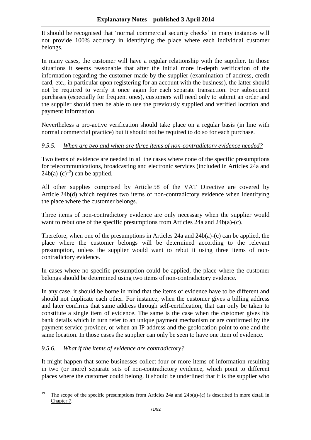It should be recognised that 'normal commercial security checks' in many instances will not provide 100% accuracy in identifying the place where each individual customer belongs.

In many cases, the customer will have a regular relationship with the supplier. In those situations it seems reasonable that after the initial more in-depth verification of the information regarding the customer made by the supplier (examination of address, credit card, etc., in particular upon registering for an account with the business), the latter should not be required to verify it once again for each separate transaction. For subsequent purchases (especially for frequent ones), customers will need only to submit an order and the supplier should then be able to use the previously supplied and verified location and payment information.

Nevertheless a pro-active verification should take place on a regular basis (in line with normal commercial practice) but it should not be required to do so for each purchase.

# *9.5.5. When are two and when are three items of non-contradictory evidence needed?*

Two items of evidence are needed in all the cases where none of the specific presumptions for telecommunications, broadcasting and electronic services (included in Articles 24a and  $24b(a)-(c)^{19}$  can be applied.

All other supplies comprised by Article 58 of the VAT Directive are covered by Article 24b(d) which requires two items of non-contradictory evidence when identifying the place where the customer belongs.

Three items of non-contradictory evidence are only necessary when the supplier would want to rebut one of the specific presumptions from Articles 24a and 24b(a)-(c).

Therefore, when one of the presumptions in Articles 24a and  $24b(a)-(c)$  can be applied, the place where the customer belongs will be determined according to the relevant presumption, unless the supplier would want to rebut it using three items of noncontradictory evidence.

In cases where no specific presumption could be applied, the place where the customer belongs should be determined using two items of non-contradictory evidence.

In any case, it should be borne in mind that the items of evidence have to be different and should not duplicate each other. For instance, when the customer gives a billing address and later confirms that same address through self-certification, that can only be taken to constitute a single item of evidence. The same is the case when the customer gives his bank details which in turn refer to an unique payment mechanism or are confirmed by the payment service provider, or when an IP address and the geolocation point to one and the same location. In those cases the supplier can only be seen to have one item of evidence.

## *9.5.6. What if the items of evidence are contradictory?*

It might happen that some businesses collect four or more items of information resulting in two (or more) separate sets of non-contradictory evidence, which point to different places where the customer could belong. It should be underlined that it is the supplier who

<sup>19</sup> The scope of the specific presumptions from Articles 24a and  $24b(a)$ -(c) is described in more detail in [Chapter](#page-53-0) 7.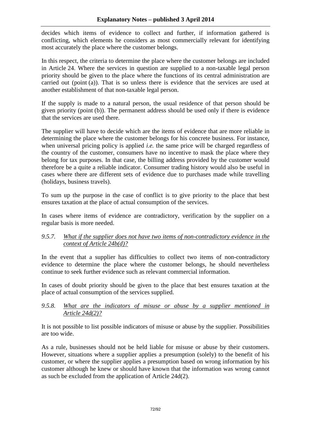decides which items of evidence to collect and further, if information gathered is conflicting, which elements he considers as most commercially relevant for identifying most accurately the place where the customer belongs.

In this respect, the criteria to determine the place where the customer belongs are included in Article 24. Where the services in question are supplied to a non-taxable legal person priority should be given to the place where the functions of its central administration are carried out (point (a)). That is so unless there is evidence that the services are used at another establishment of that non-taxable legal person.

If the supply is made to a natural person, the usual residence of that person should be given priority (point (b)). The permanent address should be used only if there is evidence that the services are used there.

The supplier will have to decide which are the items of evidence that are more reliable in determining the place where the customer belongs for his concrete business. For instance, when universal pricing policy is applied *i.e.* the same price will be charged regardless of the country of the customer, consumers have no incentive to mask the place where they belong for tax purposes. In that case, the billing address provided by the customer would therefore be a quite a reliable indicator. Consumer trading history would also be useful in cases where there are different sets of evidence due to purchases made while travelling (holidays, business travels).

To sum up the purpose in the case of conflict is to give priority to the place that best ensures taxation at the place of actual consumption of the services.

In cases where items of evidence are contradictory, verification by the supplier on a regular basis is more needed.

## *9.5.7. What if the supplier does not have two items of non-contradictory evidence in the context of Article 24b(d)?*

In the event that a supplier has difficulties to collect two items of non-contradictory evidence to determine the place where the customer belongs, he should nevertheless continue to seek further evidence such as relevant commercial information.

In cases of doubt priority should be given to the place that best ensures taxation at the place of actual consumption of the services supplied.

### *9.5.8. What are the indicators of misuse or abuse by a supplier mentioned in Article 24d(2)?*

It is not possible to list possible indicators of misuse or abuse by the supplier. Possibilities are too wide.

As a rule, businesses should not be held liable for misuse or abuse by their customers. However, situations where a supplier applies a presumption (solely) to the benefit of his customer, or where the supplier applies a presumption based on wrong information by his customer although he knew or should have known that the information was wrong cannot as such be excluded from the application of Article 24d(2).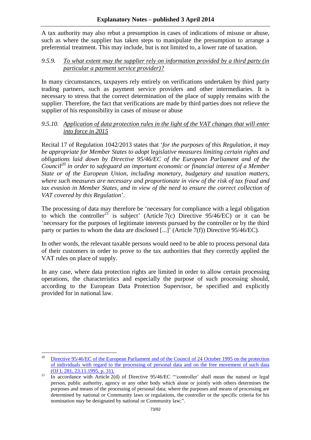A tax authority may also rebut a presumption in cases of indications of misuse or abuse, such as where the supplier has taken steps to manipulate the presumption to arrange a preferential treatment. This may include, but is not limited to, a lower rate of taxation.

# *9.5.9. To what extent may the supplier rely on information provided by a third party (in particular a payment service provider)?*

In many circumstances, taxpayers rely entirely on verifications undertaken by third party trading partners, such as payment service providers and other intermediaries. It is necessary to stress that the correct determination of the place of supply remains with the supplier. Therefore, the fact that verifications are made by third parties does not relieve the supplier of his responsibility in cases of misuse or abuse

#### *9.5.10. Application of data protection rules in the light of the VAT changes that will enter into force in 2015*

Recital 17 of Regulation 1042/2013 states that '*for the purposes of this Regulation, it may be appropriate for Member States to adopt legislative measures limiting certain rights and obligations laid down by Directive 95/46/EC of the European Parliament and of the Council<sup>20</sup> in order to safeguard an important economic or financial interest of a Member State or of the European Union, including monetary, budgetary and taxation matters, where such measures are necessary and proportionate in view of the risk of tax fraud and tax evasion in Member States, and in view of the need to ensure the correct collection of VAT covered by this Regulation*'.

The processing of data may therefore be 'necessary for compliance with a legal obligation to which the controller<sup>21</sup> is subject' (Article 7(c) Directive 95/46/EC) or it can be 'necessary for the purposes of legitimate interests pursued by the controller or by the third party or parties to whom the data are disclosed [...]' (Article 7(f)) Directive 95/46/EC).

In other words, the relevant taxable persons would need to be able to process personal data of their customers in order to prove to the tax authorities that they correctly applied the VAT rules on place of supply.

In any case, where data protection rights are limited in order to allow certain processing operations, the characteristics and especially the purpose of such processing should, according to the European Data Protection Supervisor, be specified and explicitly provided for in national law.

 $20\degree$ <sup>20</sup> [Directive 95/46/EC of the European Parliament and of the Council of 24](http://eur-lex.europa.eu/legal-content/EN/TXT/PDF/?uri=CELEX:31995L0046&rid=2) October 1995 on the protection of individuals with regard to the processing of [personal data and on the free movement of such data](http://eur-lex.europa.eu/legal-content/EN/TXT/PDF/?uri=CELEX:31995L0046&rid=2)   $\overline{(\text{OJ L } 281, 23.11.1995, p. 31)}$  $\overline{(\text{OJ L } 281, 23.11.1995, p. 31)}$  $\overline{(\text{OJ L } 281, 23.11.1995, p. 31)}$ .

<sup>&</sup>lt;sup>21</sup> In accordance with Article 2(d) of Directive  $95/46$ /EC "'controller' shall mean the natural or legal person, public authority, agency or any other body which alone or jointly with others determines the purposes and means of the processing of personal data; where the purposes and means of processing are determined by national or Community laws or regulations, the controller or the specific criteria for his nomination may be designated by national or Community law;".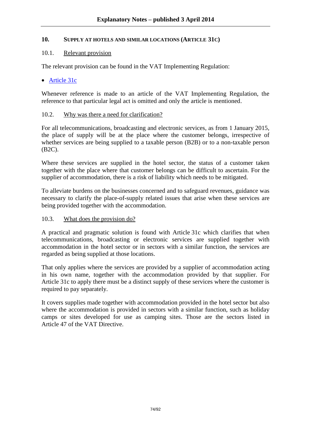#### **10. SUPPLY AT HOTELS AND SIMILAR LOCATIONS (ARTICLE 31C)**

#### 10.1. Relevant provision

The relevant provision can be found in the VAT Implementing Regulation:

#### [Article](#page-90-0) 31c

Whenever reference is made to an article of the VAT Implementing Regulation, the reference to that particular legal act is omitted and only the article is mentioned.

#### 10.2. Why was there a need for clarification?

For all telecommunications, broadcasting and electronic services, as from 1 January 2015, the place of supply will be at the place where the customer belongs, irrespective of whether services are being supplied to a taxable person (B2B) or to a non-taxable person (B2C).

Where these services are supplied in the hotel sector, the status of a customer taken together with the place where that customer belongs can be difficult to ascertain. For the supplier of accommodation, there is a risk of liability which needs to be mitigated.

To alleviate burdens on the businesses concerned and to safeguard revenues, guidance was necessary to clarify the place-of-supply related issues that arise when these services are being provided together with the accommodation.

#### 10.3. What does the provision do?

A practical and pragmatic solution is found with Article 31c which clarifies that when telecommunications, broadcasting or electronic services are supplied together with accommodation in the hotel sector or in sectors with a similar function, the services are regarded as being supplied at those locations.

That only applies where the services are provided by a supplier of accommodation acting in his own name, together with the accommodation provided by that supplier. For Article 31c to apply there must be a distinct supply of these services where the customer is required to pay separately.

It covers supplies made together with accommodation provided in the hotel sector but also where the accommodation is provided in sectors with a similar function, such as holiday camps or sites developed for use as camping sites. Those are the sectors listed in Article 47 of the VAT Directive.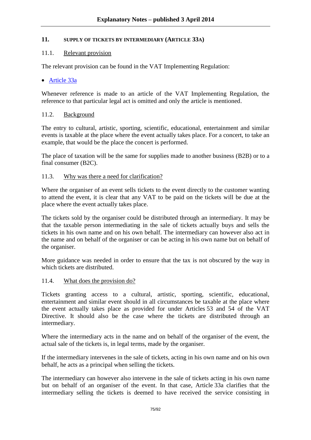#### **11. SUPPLY OF TICKETS BY INTERMEDIARY (ARTICLE 33A)**

#### 11.1. Relevant provision

The relevant provision can be found in the VAT Implementing Regulation:

#### [Article](#page-90-1) 33a

Whenever reference is made to an article of the VAT Implementing Regulation, the reference to that particular legal act is omitted and only the article is mentioned.

#### 11.2. Background

The entry to cultural, artistic, sporting, scientific, educational, entertainment and similar events is taxable at the place where the event actually takes place. For a concert, to take an example, that would be the place the concert is performed.

The place of taxation will be the same for supplies made to another business (B2B) or to a final consumer (B2C).

# 11.3. Why was there a need for clarification?

Where the organiser of an event sells tickets to the event directly to the customer wanting to attend the event, it is clear that any VAT to be paid on the tickets will be due at the place where the event actually takes place.

The tickets sold by the organiser could be distributed through an intermediary. It may be that the taxable person intermediating in the sale of tickets actually buys and sells the tickets in his own name and on his own behalf. The intermediary can however also act in the name and on behalf of the organiser or can be acting in his own name but on behalf of the organiser.

More guidance was needed in order to ensure that the tax is not obscured by the way in which tickets are distributed.

# 11.4. What does the provision do?

Tickets granting access to a cultural, artistic, sporting, scientific, educational, entertainment and similar event should in all circumstances be taxable at the place where the event actually takes place as provided for under Articles 53 and 54 of the VAT Directive. It should also be the case where the tickets are distributed through an intermediary.

Where the intermediary acts in the name and on behalf of the organiser of the event, the actual sale of the tickets is, in legal terms, made by the organiser.

If the intermediary intervenes in the sale of tickets, acting in his own name and on his own behalf, he acts as a principal when selling the tickets.

The intermediary can however also intervene in the sale of tickets acting in his own name but on behalf of an organiser of the event. In that case, Article 33a clarifies that the intermediary selling the tickets is deemed to have received the service consisting in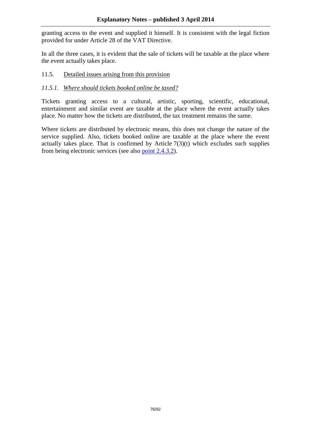granting access to the event and supplied it himself. It is consistent with the legal fiction provided for under Article 28 of the VAT Directive.

In all the three cases, it is evident that the sale of tickets will be taxable at the place where the event actually takes place.

# 11.5. Detailed issues arising from this provision

#### *11.5.1. Where should tickets booked online be taxed?*

Tickets granting access to a cultural, artistic, sporting, scientific, educational, entertainment and similar event are taxable at the place where the event actually takes place. No matter how the tickets are distributed, the tax treatment remains the same.

Where tickets are distributed by electronic means, this does not change the nature of the service supplied. Also, tickets booked online are taxable at the place where the event actually takes place. That is confirmed by Article  $7(3)(t)$  which excludes such supplies from being electronic services (see also point [2.4.3.2\)](#page-19-0).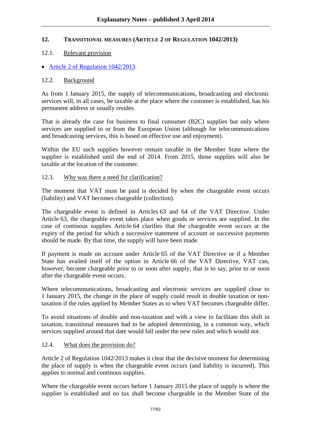### **12. TRANSITIONAL MEASURES (ARTICLE 2 OF REGULATION 1042/2013)**

#### 12.1. Relevant provision

#### • Article [2 of Regulation 1042/2013](#page-90-2)

#### 12.2. Background

As from 1 January 2015, the supply of telecommunications, broadcasting and electronic services will, in all cases, be taxable at the place where the customer is established, has his permanent address or usually resides.

That is already the case for business to final consumer (B2C) supplies but only where services are supplied to or from the European Union (although for telecommunications and broadcasting services, this is based on effective use and enjoyment).

Within the EU such supplies however remain taxable in the Member State where the supplier is established until the end of 2014. From 2015, those supplies will also be taxable at the location of the customer.

#### 12.3. Why was there a need for clarification?

The moment that VAT must be paid is decided by when the chargeable event occurs (liability) and VAT becomes chargeable (collection).

The chargeable event is defined in Articles 63 and 64 of the VAT Directive. Under Article 63, the chargeable event takes place when goods or services are supplied. In the case of continous supplies Article 64 clarifies that the chargeable event occurs at the expiry of the period for which a successive statement of account or successive payments should be made. By that time, the supply will have been made.

If payment is made on account under Article 65 of the VAT Directive or if a Member State has availed itself of the option in Article 66 of the VAT Directive, VAT can, however, become chargeable prior to or soon after supply, that is to say, prior to or soon after the chargeable event occurs.

Where telecommunications, broadcasting and electronic services are supplied close to 1 January 2015, the change in the place of supply could result in double taxation or nontaxation if the rules applied by Member States as to when VAT becomes chargeable differ.

To avoid situations of double and non-taxation and with a view to facilitate this shift in taxation, transitional measures had to be adopted determining, in a common way, which services supplied around that date would fall under the new rules and which would not.

#### 12.4. What does the provision do?

Article 2 of Regulation 1042/2013 makes it clear that the decisive moment for determining the place of supply is when the chargeable event occurs (and liability is incurred). This applies to normal and continous supplies.

Where the chargeable event occurs before 1 January 2015 the place of supply is where the supplier is established and no tax shall become chargeable in the Member State of the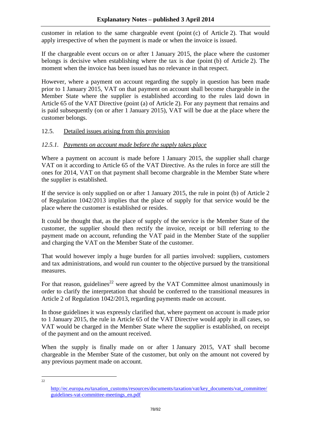customer in relation to the same chargeable event (point (c) of Article 2). That would apply irrespective of when the payment is made or when the invoice is issued.

If the chargeable event occurs on or after 1 January 2015, the place where the customer belongs is decisive when establishing where the tax is due (point (b) of Article 2). The moment when the invoice has been issued has no relevance in that respect.

However, where a payment on account regarding the supply in question has been made prior to 1 January 2015, VAT on that payment on account shall become chargeable in the Member State where the supplier is established according to the rules laid down in Article 65 of the VAT Directive (point (a) of Article 2). For any payment that remains and is paid subsequently (on or after 1 January 2015), VAT will be due at the place where the customer belongs.

# 12.5. Detailed issues arising from this provision

# *12.5.1. Payments on account made before the supply takes place*

Where a payment on account is made before 1 January 2015, the supplier shall charge VAT on it according to Article 65 of the VAT Directive. As the rules in force are still the ones for 2014, VAT on that payment shall become chargeable in the Member State where the supplier is established.

If the service is only supplied on or after 1 January 2015, the rule in point (b) of Article 2 of Regulation 1042/2013 implies that the place of supply for that service would be the place where the customer is established or resides.

It could be thought that, as the place of supply of the service is the Member State of the customer, the supplier should then rectify the invoice, receipt or bill referring to the payment made on account, refunding the VAT paid in the Member State of the supplier and charging the VAT on the Member State of the customer.

That would however imply a huge burden for all parties involved: suppliers, customers and tax administrations, and would run counter to the objective pursued by the transitional measures.

For that reason, guidelines<sup>22</sup> were agreed by the VAT Committee almost unanimously in order to clarify the interpretation that should be conferred to the transitional measures in Article 2 of Regulation 1042/2013, regarding payments made on account.

In those guidelines it was expressly clarified that, where payment on account is made prior to 1 January 2015, the rule in Article 65 of the VAT Directive would apply in all cases, so VAT would be charged in the Member State where the supplier is established, on receipt of the payment and on the amount received.

When the supply is finally made on or after 1 January 2015, VAT shall become chargeable in the Member State of the customer, but only on the amount not covered by any previous payment made on account.

 $\frac{1}{22}$ 

[http://ec.europa.eu/taxation\\_customs/resources/documents/taxation/vat/key\\_documents/vat\\_committee/](http://ec.europa.eu/taxation_customs/resources/documents/taxation/vat/key_documents/vat_committee/guidelines-vat-committee-meetings_en.pdf) [guidelines-vat-committee-meetings\\_en.pdf](http://ec.europa.eu/taxation_customs/resources/documents/taxation/vat/key_documents/vat_committee/guidelines-vat-committee-meetings_en.pdf)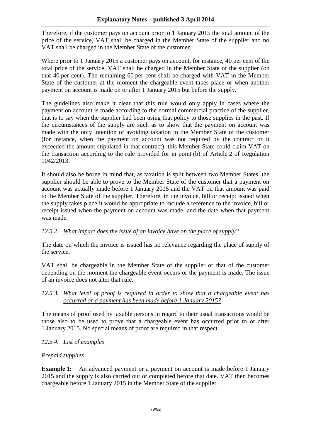Therefore, if the customer pays on account prior to 1 January 2015 the total amount of the price of the service, VAT shall be charged in the Member State of the supplier and no VAT shall be charged in the Member State of the customer.

Where prior to 1 January 2015 a customer pays on account, for instance, 40 per cent of the total price of the service, VAT shall be charged in the Member State of the supplier (on that 40 per cent). The remaining 60 per cent shall be charged with VAT in the Member State of the customer at the moment the chargeable event takes place or when another payment on account is made on or after 1 January 2015 but before the supply.

The guidelines also make it clear that this rule would only apply in cases where the payment on account is made according to the normal commercial practice of the supplier, that is to say when the supplier had been using that policy to those supplies in the past. If the circumstances of the supply are such as to show that the payment on account was made with the only intention of avoiding taxation in the Member State of the customer (for instance, when the payment on account was not required by the contract or it exceeded the amount stipulated in that contract), this Member State could claim VAT on the transaction according to the rule provided for in point (b) of Article 2 of Regulation 1042/2013.

It should also be borne in mind that, as taxation is split between two Member States, the supplier should be able to prove to the Member State of the customer that a payment on account was actually made before 1 January 2015 and the VAT on that amount was paid to the Member State of the supplier. Therefore, in the invoice, bill or receipt issued when the supply takes place it would be appropriate to include a reference to the invoice, bill or receipt issued when the payment on account was made, and the date when that payment was made.

# *12.5.2. What impact does the issue of an invoice have on the place of supply?*

The date on which the invoice is issued has no relevance regarding the place of supply of the service.

VAT shall be chargeable in the Member State of the supplier or that of the customer depending on the moment the chargeable event occurs or the payment is made. The issue of an invoice does not alter that rule.

# *12.5.3. What level of proof is required in order to show that a chargeable event has occurred or a payment has been made before 1 January 2015?*

The means of proof used by taxable persons in regard to their usual transactions would be those also to be used to prove that a chargeable event has occurred prior to or after 1 January 2015. No special means of proof are required in that respect.

# *12.5.4. List of examples*

# *Prepaid supplies*

**Example 1:** An advanced payment or a payment on account is made before 1 January 2015 and the supply is also carried out or completed before that date. VAT then becomes chargeable before 1 January 2015 in the Member State of the supplier.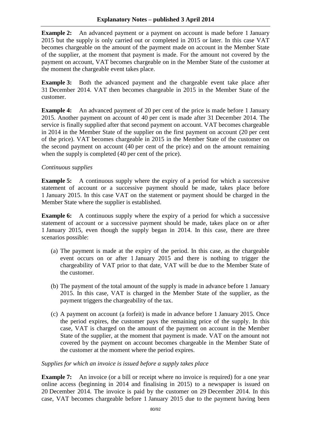**Example 2:** An advanced payment or a payment on account is made before 1 January 2015 but the supply is only carried out or completed in 2015 or later. In this case VAT becomes chargeable on the amount of the payment made on account in the Member State of the supplier, at the moment that payment is made. For the amount not covered by the payment on account, VAT becomes chargeable on in the Member State of the customer at the moment the chargeable event takes place.

**Example 3:** Both the advanced payment and the chargeable event take place after 31 December 2014. VAT then becomes chargeable in 2015 in the Member State of the customer.

**Example 4:** An advanced payment of 20 per cent of the price is made before 1 January 2015. Another payment on account of 40 per cent is made after 31 December 2014. The service is finally supplied after that second payment on account. VAT becomes chargeable in 2014 in the Member State of the supplier on the first payment on account (20 per cent of the price). VAT becomes chargeable in 2015 in the Member State of the customer on the second payment on account (40 per cent of the price) and on the amount remaining when the supply is completed (40 per cent of the price).

# *Continuous supplies*

**Example 5:** A continuous supply where the expiry of a period for which a successive statement of account or a successive payment should be made, takes place before 1 January 2015. In this case VAT on the statement or payment should be charged in the Member State where the supplier is established.

**Example 6:** A continuous supply where the expiry of a period for which a successive statement of account or a successive payment should be made, takes place on or after 1 January 2015, even though the supply began in 2014. In this case, there are three scenarios possible:

- (a) The payment is made at the expiry of the period. In this case, as the chargeable event occurs on or after 1 January 2015 and there is nothing to trigger the chargeability of VAT prior to that date, VAT will be due to the Member State of the customer.
- (b) The payment of the total amount of the supply is made in advance before 1 January 2015. In this case, VAT is charged in the Member State of the supplier, as the payment triggers the chargeability of the tax.
- (c) A payment on account (a forfeit) is made in advance before 1 January 2015. Once the period expires, the customer pays the remaining price of the supply. In this case, VAT is charged on the amount of the payment on account in the Member State of the supplier, at the moment that payment is made. VAT on the amount not covered by the payment on account becomes chargeable in the Member State of the customer at the moment where the period expires.

# *Supplies for which an invoice is issued before a supply takes place*

**Example 7:** An invoice (or a bill or receipt where no invoice is required) for a one year online access (beginning in 2014 and finalising in 2015) to a newspaper is issued on 20 December 2014. The invoice is paid by the customer on 29 December 2014. In this case, VAT becomes chargeable before 1 January 2015 due to the payment having been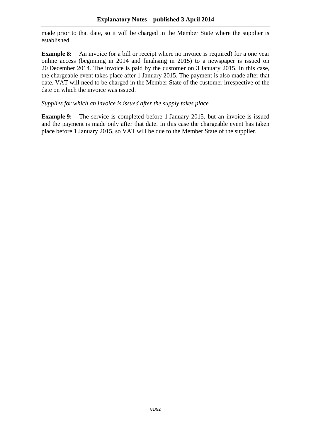made prior to that date, so it will be charged in the Member State where the supplier is established.

**Example 8:** An invoice (or a bill or receipt where no invoice is required) for a one year online access (beginning in 2014 and finalising in 2015) to a newspaper is issued on 20 December 2014. The invoice is paid by the customer on 3 January 2015. In this case, the chargeable event takes place after 1 January 2015. The payment is also made after that date. VAT will need to be charged in the Member State of the customer irrespective of the date on which the invoice was issued.

### *Supplies for which an invoice is issued after the supply takes place*

**Example 9:** The service is completed before 1 January 2015, but an invoice is issued and the payment is made only after that date. In this case the chargeable event has taken place before 1 January 2015, so VAT will be due to the Member State of the supplier.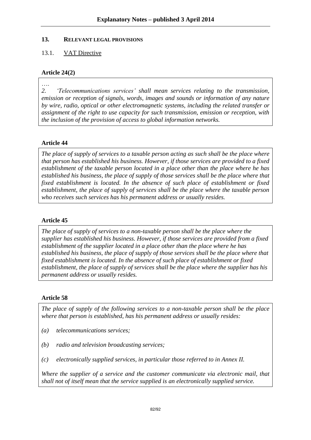#### **13. RELEVANT LEGAL PROVISIONS**

### 13.1. VAT Directive

#### **Article 24(2)**

….

*2. 'Telecommunications services' shall mean services relating to the transmission, emission or reception of signals, words, images and sounds or information of any nature by wire, radio, optical or other electromagnetic systems, including the related transfer or assignment of the right to use capacity for such transmission, emission or reception, with the inclusion of the provision of access to global information networks.*

#### **Article 44**

*The place of supply of services to a taxable person acting as such shall be the place where that person has established his business. However, if those services are provided to a fixed establishment of the taxable person located in a place other than the place where he has established his business, the place of supply of those services shall be the place where that fixed establishment is located. In the absence of such place of establishment or fixed establishment, the place of supply of services shall be the place where the taxable person who receives such services has his permanent address or usually resides.*

#### **Article 45**

*The place of supply of services to a non-taxable person shall be the place where the supplier has established his business. However, if those services are provided from a fixed establishment of the supplier located in a place other than the place where he has established his business, the place of supply of those services shall be the place where that fixed establishment is located. In the absence of such place of establishment or fixed establishment, the place of supply of services shall be the place where the supplier has his permanent address or usually resides.*

#### **Article 58**

*The place of supply of the following services to a non-taxable person shall be the place where that person is established, has his permanent address or usually resides:*

- *(a) telecommunications services;*
- *(b) radio and television broadcasting services;*
- *(c) electronically supplied services, in particular those referred to in Annex II.*

*Where the supplier of a service and the customer communicate via electronic mail, that shall not of itself mean that the service supplied is an electronically supplied service.*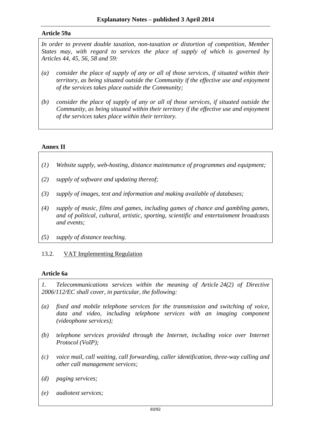### **Article 59a**

*In order to prevent double taxation, non-taxation or distortion of competition, Member States may, with regard to services the place of supply of which is governed by Articles 44, 45, 56, 58 and 59:*

- *(a) consider the place of supply of any or all of those services, if situated within their territory, as being situated outside the Community if the effective use and enjoyment of the services takes place outside the Community;*
- *(b) consider the place of supply of any or all of those services, if situated outside the Community, as being situated within their territory if the effective use and enjoyment of the services takes place within their territory.*

# **Annex II**

- *(1) Website supply, web-hosting, distance maintenance of programmes and equipment;*
- *(2) supply of software and updating thereof;*
- *(3) supply of images, text and information and making available of databases;*
- *(4) supply of music, films and games, including games of chance and gambling games, and of political, cultural, artistic, sporting, scientific and entertainment broadcasts and events;*
- *(5) supply of distance teaching.*

# 13.2. **VAT Implementing Regulation**

#### **Article 6a**

*1. Telecommunications services within the meaning of Article 24(2) of Directive 2006/112/EC shall cover, in particular, the following:*

- *(a) fixed and mobile telephone services for the transmission and switching of voice, data and video, including telephone services with an imaging component (videophone services);*
- *(b) telephone services provided through the Internet, including voice over Internet Protocol (VoIP);*
- *(c) voice mail, call waiting, call forwarding, caller identification, three-way calling and other call management services;*
- *(d) paging services;*
- *(e) audiotext services;*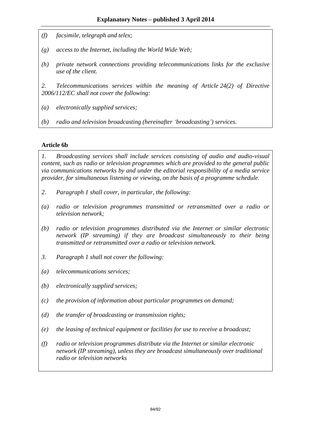- *(f) facsimile, telegraph and telex;*
- *(g) access to the Internet, including the World Wide Web;*
- *(h) private network connections providing telecommunications links for the exclusive use of the client.*

*2. Telecommunications services within the meaning of Article 24(2) of Directive 2006/112/EC shall not cover the following:*

- *(a) electronically supplied services;*
- *(b) radio and television broadcasting (hereinafter 'broadcasting') services.*

#### **Article 6b**

*1. Broadcasting services shall include services consisting of audio and audio-visual content, such as radio or television programmes which are provided to the general public via communications networks by and under the editorial responsibility of a media service provider, for simultaneous listening or viewing, on the basis of a programme schedule.*

- *2. Paragraph 1 shall cover, in particular, the following:*
- *(a) radio or television programmes transmitted or retransmitted over a radio or television network;*
- *(b) radio or television programmes distributed via the Internet or similar electronic network (IP streaming) if they are broadcast simultaneously to their being transmitted or retransmitted over a radio or television network.*
- *3. Paragraph 1 shall not cover the following:*
- *(a) telecommunications services;*
- *(b) electronically supplied services;*
- *(c) the provision of information about particular programmes on demand;*
- *(d) the transfer of broadcasting or transmission rights;*
- *(e) the leasing of technical equipment or facilities for use to receive a broadcast;*
- *(f) radio or television programmes distribute via the Internet or similar electronic network (IP streaming), unless they are broadcast simultaneously over traditional radio or television networks*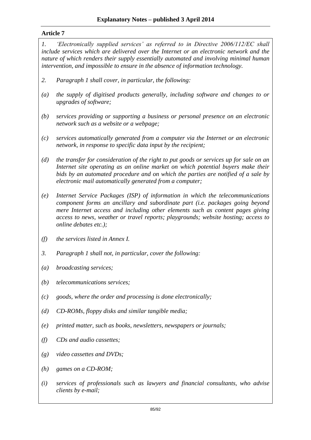# **Article 7**

*1. 'Electronically supplied services' as referred to in Directive 2006/112/EC shall include services which are delivered over the Internet or an electronic network and the nature of which renders their supply essentially automated and involving minimal human intervention, and impossible to ensure in the absence of information technology.*

- *2. Paragraph 1 shall cover, in particular, the following:*
- *(a) the supply of digitised products generally, including software and changes to or upgrades of software;*
- *(b) services providing or supporting a business or personal presence on an electronic network such as a website or a webpage;*
- *(c) services automatically generated from a computer via the Internet or an electronic network, in response to specific data input by the recipient;*
- *(d) the transfer for consideration of the right to put goods or services up for sale on an Internet site operating as an online market on which potential buyers make their bids by an automated procedure and on which the parties are notified of a sale by electronic mail automatically generated from a computer;*
- *(e) Internet Service Packages (ISP) of information in which the telecommunications component forms an ancillary and subordinate part (i.e. packages going beyond mere Internet access and including other elements such as content pages giving access to news, weather or travel reports; playgrounds; website hosting; access to online debates etc.);*
- *(f) the services listed in Annex I.*
- *3. Paragraph 1 shall not, in particular, cover the following:*
- *(a) broadcasting services;*
- *(b) telecommunications services;*
- *(c) goods, where the order and processing is done electronically;*
- *(d) CD-ROMs, floppy disks and similar tangible media;*
- *(e) printed matter, such as books, newsletters, newspapers or journals;*
- *(f) CDs and audio cassettes;*
- *(g) video cassettes and DVDs;*
- *(h) games on a CD-ROM;*
- *(i) services of professionals such as lawyers and financial consultants, who advise clients by e-mail;*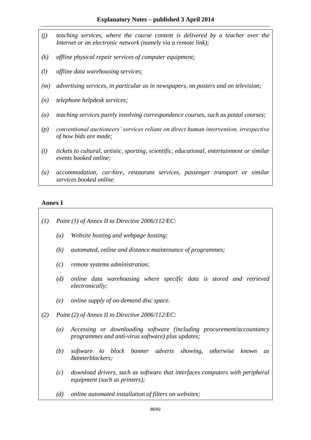- *(j) teaching services, where the course content is delivered by a teacher over the Internet or an electronic network (namely via a remote link);*
- *(k) offline physical repair services of computer equipment;*
- *(l) offline data warehousing services;*
- *(m) advertising services, in particular as in newspapers, on posters and on television;*
- *(n) telephone helpdesk services;*
- *(o) teaching services purely involving correspondence courses, such as postal courses;*
- *(p) conventional auctioneers' services reliant on direct human intervention, irrespective of how bids are made;*
- *(t) tickets to cultural, artistic, sporting, scientific, educational, entertainment or similar events booked online;*
- *(u) accommodation, car-hire, restaurant services, passenger transport or similar services booked online.*

#### **Annex I**

- *(1) Point (1) of Annex II to Directive 2006/112/EC:*
	- *(a) Website hosting and webpage hosting;*
	- *(b) automated, online and distance maintenance of programmes;*
	- *(c) remote systems administration;*
	- *(d) online data warehousing where specific data is stored and retrieved electronically;*
	- *(e) online supply of on-demand disc space.*
- *(2) Point (2) of Annex II to Directive 2006/112/EC:*
	- *(a) Accessing or downloading software (including procurement/accountancy programmes and anti-virus software) plus updates;*
	- *(b) software to block banner adverts showing, otherwise known as Bannerblockers;*
	- *(c) download drivers, such as software that interfaces computers with peripheral equipment (such as printers);*
	- *(d) online automated installation of filters on websites;*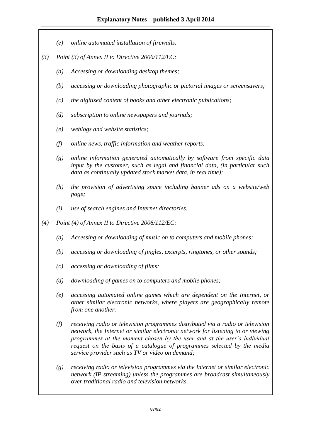- *(e) online automated installation of firewalls.*
- *(3) Point (3) of Annex II to Directive 2006/112/EC:*
	- *(a) Accessing or downloading desktop themes;*
	- *(b) accessing or downloading photographic or pictorial images or screensavers;*
	- *(c) the digitised content of books and other electronic publications;*
	- *(d) subscription to online newspapers and journals;*
	- *(e) weblogs and website statistics;*
	- *(f) online news, traffic information and weather reports;*
	- *(g) online information generated automatically by software from specific data input by the customer, such as legal and financial data, (in particular such data as continually updated stock market data, in real time);*
	- *(h) the provision of advertising space including banner ads on a website/web page;*
	- *(i) use of search engines and Internet directories.*
- *(4) Point (4) of Annex II to Directive 2006/112/EC:*
	- *(a) Accessing or downloading of music on to computers and mobile phones;*
	- *(b) accessing or downloading of jingles, excerpts, ringtones, or other sounds;*
	- *(c) accessing or downloading of films;*
	- *(d) downloading of games on to computers and mobile phones;*
	- *(e) accessing automated online games which are dependent on the Internet, or other similar electronic networks, where players are geographically remote from one another.*
	- *(f) receiving radio or television programmes distributed via a radio or television network, the Internet or similar electronic network for listening to or viewing programmes at the moment chosen by the user and at the user's individual request on the basis of a catalogue of programmes selected by the media service provider such as TV or video on demand;*
	- *(g) receiving radio or television programmes via the Internet or similar electronic network (IP streaming) unless the programmes are broadcast simultaneously over traditional radio and television networks.*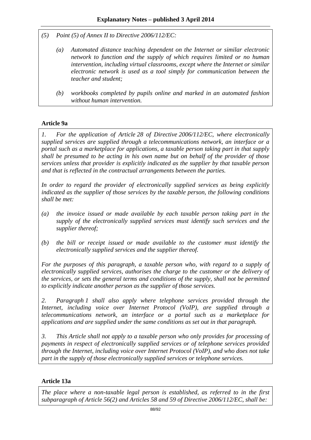- *(5) Point (5) of Annex II to Directive 2006/112/EC:*
	- *(a) Automated distance teaching dependent on the Internet or similar electronic network to function and the supply of which requires limited or no human intervention, including virtual classrooms, except where the Internet or similar electronic network is used as a tool simply for communication between the teacher and student;*
	- *(b) workbooks completed by pupils online and marked in an automated fashion without human intervention.*

# **Article 9a**

*1. For the application of Article 28 of Directive 2006/112/EC, where electronically supplied services are supplied through a telecommunications network, an interface or a portal such as a marketplace for applications, a taxable person taking part in that supply shall be presumed to be acting in his own name but on behalf of the provider of those services unless that provider is explicitly indicated as the supplier by that taxable person and that is reflected in the contractual arrangements between the parties.*

*In order to regard the provider of electronically supplied services as being explicitly indicated as the supplier of those services by the taxable person, the following conditions shall be met:* 

- *(a) the invoice issued or made available by each taxable person taking part in the supply of the electronically supplied services must identify such services and the supplier thereof;*
- *(b) the bill or receipt issued or made available to the customer must identify the electronically supplied services and the supplier thereof.*

For the purposes of this paragraph, a taxable person who, with regard to a supply of *electronically supplied services, authorises the charge to the customer or the delivery of the services, or sets the general terms and conditions of the supply, shall not be permitted to explicitly indicate another person as the supplier of those services.*

*2. Paragraph 1 shall also apply where telephone services provided through the Internet, including voice over Internet Protocol (VoIP), are supplied through a telecommunications network, an interface or a portal such as a marketplace for applications and are supplied under the same conditions as set out in that paragraph.*

*3. This Article shall not apply to a taxable person who only provides for processing of payments in respect of electronically supplied services or of telephone services provided through the Internet, including voice over Internet Protocol (VoIP), and who does not take part in the supply of those electronically supplied services or telephone services.*

# **Article 13a**

*The place where a non-taxable legal person is established, as referred to in the first subparagraph of Article 56(2) and Articles 58 and 59 of Directive 2006/112/EC, shall be:*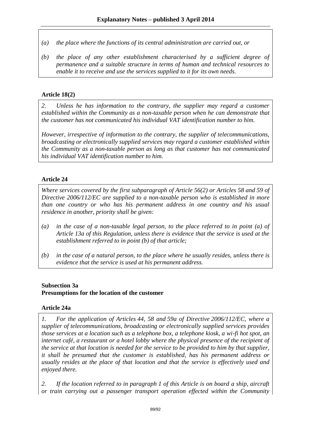- *(a) the place where the functions of its central administration are carried out, or*
- *(b) the place of any other establishment characterised by a sufficient degree of permanence and a suitable structure in terms of human and technical resources to enable it to receive and use the services supplied to it for its own needs.*

# **Article 18(2)**

*2. Unless he has information to the contrary, the supplier may regard a customer established within the Community as a non-taxable person when he can demonstrate that the customer has not communicated his individual VAT identification number to him.*

*However, irrespective of information to the contrary, the supplier of telecommunications, broadcasting or electronically supplied services may regard a customer established within the Community as a non-taxable person as long as that customer has not communicated his individual VAT identification number to him.*

# **Article 24**

*Where services covered by the first subparagraph of Article 56(2) or Articles 58 and 59 of Directive 2006/112/EC are supplied to a non-taxable person who is established in more than one country or who has his permanent address in one country and his usual residence in another, priority shall be given:*

- *(a) in the case of a non-taxable legal person, to the place referred to in point (a) of Article 13a of this Regulation, unless there is evidence that the service is used at the establishment referred to in point (b) of that article;*
- *(b) in the case of a natural person, to the place where he usually resides, unless there is evidence that the service is used at his permanent address.*

#### **Subsection 3a Presumptions for the location of the customer**

# **Article 24a**

*1. For the application of Articles 44, 58 and 59a of Directive 2006/112/EC, where a supplier of telecommunications, broadcasting or electronically supplied services provides those services at a location such as a telephone box, a telephone kiosk, a wi-fi hot spot, an internet café, a restaurant or a hotel lobby where the physical presence of the recipient of the service at that location is needed for the service to be provided to him by that supplier, it shall be presumed that the customer is established, has his permanent address or usually resides at the place of that location and that the service is effectively used and enjoyed there.* 

*2. If the location referred to in paragraph 1 of this Article is on board a ship, aircraft or train carrying out a passenger transport operation effected within the Community*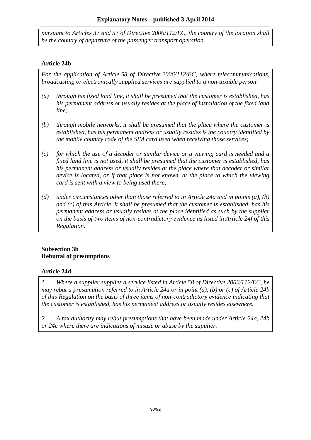*pursuant to Articles 37 and 57 of Directive 2006/112/EC, the country of the location shall be the country of departure of the passenger transport operation.*

# **Article 24b**

*For the application of Article 58 of Directive 2006/112/EC, where telecommunications, broadcasting or electronically supplied services are supplied to a non-taxable person:*

- *(a) through his fixed land line, it shall be presumed that the customer is established, has his permanent address or usually resides at the place of installation of the fixed land line;*
- *(b) through mobile networks, it shall be presumed that the place where the customer is established, has his permanent address or usually resides is the country identified by the mobile country code of the SIM card used when receiving those services;*
- *(c) for which the use of a decoder or similar device or a viewing card is needed and a fixed land line is not used, it shall be presumed that the customer is established, has his permanent address or usually resides at the place where that decoder or similar device is located, or if that place is not known, at the place to which the viewing card is sent with a view to being used there;*
- *(d) under circumstances other than those referred to in Article 24a and in points (a), (b) and (c) of this Article, it shall be presumed that the customer is established, has his permanent address or usually resides at the place identified as such by the supplier on the basis of two items of non-contradictory evidence as listed in Article 24f of this Regulation.*

#### **Subsection 3b Rebuttal of presumptions**

#### **Article 24d**

*1. Where a supplier supplies a service listed in Article 58 of Directive 2006/112/EC, he may rebut a presumption referred to in Article 24a or in point (a), (b) or (c) of Article 24b of this Regulation on the basis of three items of non-contradictory evidence indicating that the customer is established, has his permanent address or usually resides elsewhere.* 

*2. A tax authority may rebut presumptions that have been made under Article 24a, 24b or 24c where there are indications of misuse or abuse by the supplier.*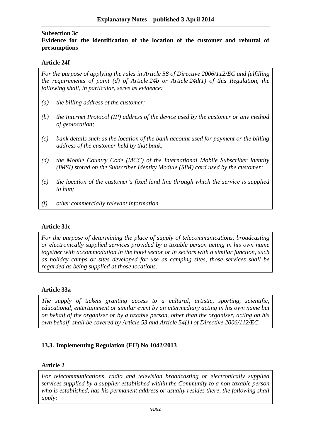# **Subsection 3c**

# **Evidence for the identification of the location of the customer and rebuttal of presumptions**

# **Article 24f**

*For the purpose of applying the rules in Article 58 of Directive 2006/112/EC and fulfilling the requirements of point (d) of Article 24b or Article 24d(1) of this Regulation, the following shall, in particular, serve as evidence:*

- *(a) the billing address of the customer;*
- *(b) the Internet Protocol (IP) address of the device used by the customer or any method of geolocation;*
- *(c) bank details such as the location of the bank account used for payment or the billing address of the customer held by that bank;*
- *(d) the Mobile Country Code (MCC) of the International Mobile Subscriber Identity (IMSI) stored on the Subscriber Identity Module (SIM) card used by the customer;*
- *(e) the location of the customer's fixed land line through which the service is supplied to him;*
- *(f) other commercially relevant information.*

# <span id="page-90-0"></span>**Article 31c**

*For the purpose of determining the place of supply of telecommunications, broadcasting or electronically supplied services provided by a taxable person acting in his own name together with accommodation in the hotel sector or in sectors with a similar function, such as holiday camps or sites developed for use as camping sites, those services shall be regarded as being supplied at those locations.*

# <span id="page-90-1"></span>**Article 33a**

*The supply of tickets granting access to a cultural, artistic, sporting, scientific, educational, entertainment or similar event by an intermediary acting in his own name but on behalf of the organiser or by a taxable person, other than the organiser, acting on his own behalf, shall be covered by Article 53 and Article 54(1) of Directive 2006/112/EC.*

# **13.3. Implementing Regulation (EU) No 1042/2013**

# <span id="page-90-2"></span>**Article 2**

*For telecommunications, radio and television broadcasting or electronically supplied services supplied by a supplier established within the Community to a non-taxable person who is established, has his permanent address or usually resides there, the following shall apply:*